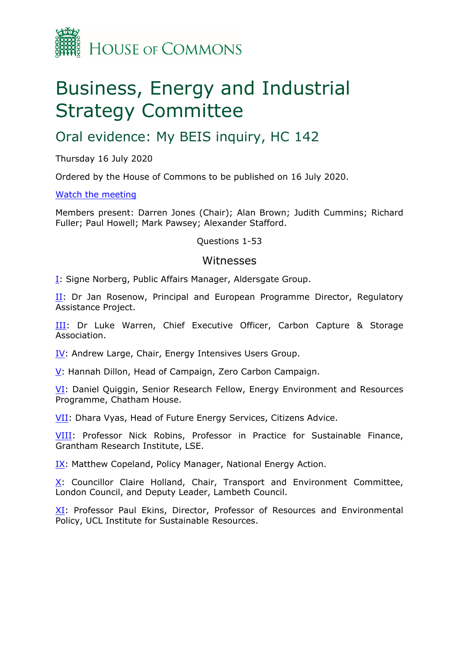

# Business, Energy and Industrial Strategy Committee

## Oral evidence: My BEIS inquiry, HC 142

Thursday 16 July 2020

Ordered by the House of Commons to be published on 16 July 2020.

#### [Watch](https://parliamentlive.tv/Event/Index/b1c305a0-78c9-4e0e-9918-c1824f44e9d9) [the](https://parliamentlive.tv/Event/Index/b1c305a0-78c9-4e0e-9918-c1824f44e9d9) [meeting](https://parliamentlive.tv/Event/Index/b1c305a0-78c9-4e0e-9918-c1824f44e9d9)

Members present: Darren Jones (Chair); Alan Brown; Judith Cummins; Richard Fuller; Paul Howell; Mark Pawsey; Alexander Stafford.

Questions 1-53

#### Witnesses

[I:](#page-1-0) Signe Norberg, Public Affairs Manager, Aldersgate Group.

[II](#page-4-0): Dr Jan Rosenow, Principal and European Programme Director, Regulatory Assistance Project.

[III:](#page-8-0) Dr Luke Warren, Chief Executive Officer, Carbon Capture & Storage Association.

[IV](#page-12-0): Andrew Large, Chair, Energy Intensives Users Group.

[V:](#page-15-0) Hannah Dillon, Head of Campaign, Zero Carbon Campaign.

[VI](#page-19-0): Daniel Quiggin, Senior Research Fellow, Energy Environment and Resources Programme, Chatham House.

[VII:](#page-22-0) Dhara Vyas, Head of Future Energy Services, Citizens Advice.

[VIII](#page-27-0): Professor Nick Robins, Professor in Practice for Sustainable Finance, Grantham Research Institute, LSE.

[IX](#page-29-0): Matthew Copeland, Policy Manager, National Energy Action.

[X:](#page-33-0) Councillor Claire Holland, Chair, Transport and Environment Committee, London Council, and Deputy Leader, Lambeth Council.

[XI](#page-36-0): Professor Paul Ekins, Director, Professor of Resources and Environmental Policy, UCL Institute for Sustainable Resources.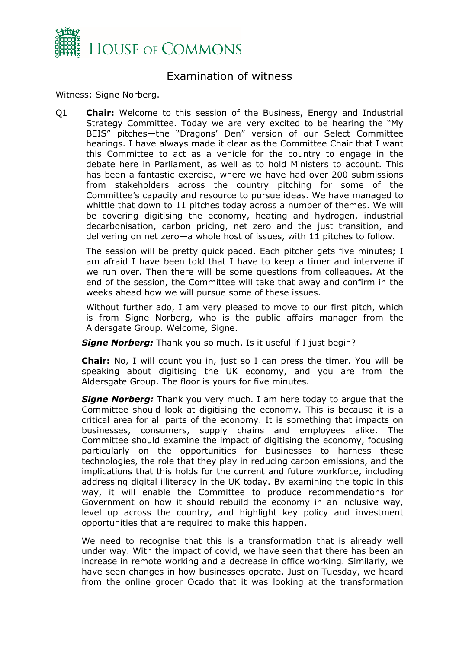

## <span id="page-1-0"></span>Examination of witness

Witness: Signe Norberg.

Q1 **Chair:** Welcome to this session of the Business, Energy and Industrial Strategy Committee. Today we are very excited to be hearing the "My BEIS" pitches—the "Dragons' Den" version of our Select Committee hearings. I have always made it clear as the Committee Chair that I want this Committee to act as a vehicle for the country to engage in the debate here in Parliament, as well as to hold Ministers to account. This has been a fantastic exercise, where we have had over 200 submissions from stakeholders across the country pitching for some of the Committee's capacity and resource to pursue ideas. We have managed to whittle that down to 11 pitches today across a number of themes. We will be covering digitising the economy, heating and hydrogen, industrial decarbonisation, carbon pricing, net zero and the just transition, and delivering on net zero—a whole host of issues, with 11 pitches to follow.

The session will be pretty quick paced. Each pitcher gets five minutes; I am afraid I have been told that I have to keep a timer and intervene if we run over. Then there will be some questions from colleagues. At the end of the session, the Committee will take that away and confirm in the weeks ahead how we will pursue some of these issues.

Without further ado, I am very pleased to move to our first pitch, which is from Signe Norberg, who is the public affairs manager from the Aldersgate Group. Welcome, Signe.

*Signe Norberg:* Thank you so much. Is it useful if I just begin?

**Chair:** No, I will count you in, just so I can press the timer. You will be speaking about digitising the UK economy, and you are from the Aldersgate Group. The floor is yours for five minutes.

*Signe Norberg:* Thank you very much. I am here today to argue that the Committee should look at digitising the economy. This is because it is a critical area for all parts of the economy. It is something that impacts on businesses, consumers, supply chains and employees alike. The Committee should examine the impact of digitising the economy, focusing particularly on the opportunities for businesses to harness these technologies, the role that they play in reducing carbon emissions, and the implications that this holds for the current and future workforce, including addressing digital illiteracy in the UK today. By examining the topic in this way, it will enable the Committee to produce recommendations for Government on how it should rebuild the economy in an inclusive way, level up across the country, and highlight key policy and investment opportunities that are required to make this happen.

We need to recognise that this is a transformation that is already well under way. With the impact of covid, we have seen that there has been an increase in remote working and a decrease in office working. Similarly, we have seen changes in how businesses operate. Just on Tuesday, we heard from the online grocer Ocado that it was looking at the transformation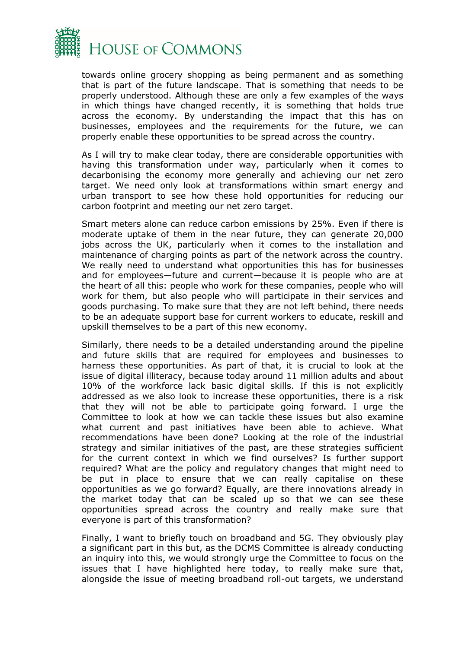

towards online grocery shopping as being permanent and as something that is part of the future landscape. That is something that needs to be properly understood. Although these are only a few examples of the ways in which things have changed recently, it is something that holds true across the economy. By understanding the impact that this has on businesses, employees and the requirements for the future, we can properly enable these opportunities to be spread across the country.

As I will try to make clear today, there are considerable opportunities with having this transformation under way, particularly when it comes to decarbonising the economy more generally and achieving our net zero target. We need only look at transformations within smart energy and urban transport to see how these hold opportunities for reducing our carbon footprint and meeting our net zero target.

Smart meters alone can reduce carbon emissions by 25%. Even if there is moderate uptake of them in the near future, they can generate 20,000 jobs across the UK, particularly when it comes to the installation and maintenance of charging points as part of the network across the country. We really need to understand what opportunities this has for businesses and for employees—future and current—because it is people who are at the heart of all this: people who work for these companies, people who will work for them, but also people who will participate in their services and goods purchasing. To make sure that they are not left behind, there needs to be an adequate support base for current workers to educate, reskill and upskill themselves to be a part of this new economy.

Similarly, there needs to be a detailed understanding around the pipeline and future skills that are required for employees and businesses to harness these opportunities. As part of that, it is crucial to look at the issue of digital illiteracy, because today around 11 million adults and about 10% of the workforce lack basic digital skills. If this is not explicitly addressed as we also look to increase these opportunities, there is a risk that they will not be able to participate going forward. I urge the Committee to look at how we can tackle these issues but also examine what current and past initiatives have been able to achieve. What recommendations have been done? Looking at the role of the industrial strategy and similar initiatives of the past, are these strategies sufficient for the current context in which we find ourselves? Is further support required? What are the policy and regulatory changes that might need to be put in place to ensure that we can really capitalise on these opportunities as we go forward? Equally, are there innovations already in the market today that can be scaled up so that we can see these opportunities spread across the country and really make sure that everyone is part of this transformation?

Finally, I want to briefly touch on broadband and 5G. They obviously play a significant part in this but, as the DCMS Committee is already conducting an inquiry into this, we would strongly urge the Committee to focus on the issues that I have highlighted here today, to really make sure that, alongside the issue of meeting broadband roll-out targets, we understand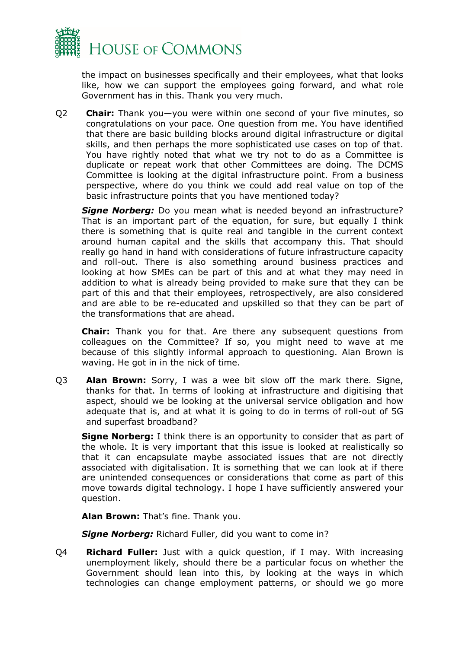

the impact on businesses specifically and their employees, what that looks like, how we can support the employees going forward, and what role Government has in this. Thank you very much.

Q2 **Chair:** Thank you—you were within one second of your five minutes, so congratulations on your pace. One question from me. You have identified that there are basic building blocks around digital infrastructure or digital skills, and then perhaps the more sophisticated use cases on top of that. You have rightly noted that what we try not to do as a Committee is duplicate or repeat work that other Committees are doing. The DCMS Committee is looking at the digital infrastructure point. From a business perspective, where do you think we could add real value on top of the basic infrastructure points that you have mentioned today?

*Signe Norberg:* Do you mean what is needed beyond an infrastructure? That is an important part of the equation, for sure, but equally I think there is something that is quite real and tangible in the current context around human capital and the skills that accompany this. That should really go hand in hand with considerations of future infrastructure capacity and roll-out. There is also something around business practices and looking at how SMEs can be part of this and at what they may need in addition to what is already being provided to make sure that they can be part of this and that their employees, retrospectively, are also considered and are able to be re-educated and upskilled so that they can be part of the transformations that are ahead.

**Chair:** Thank you for that. Are there any subsequent questions from colleagues on the Committee? If so, you might need to wave at me because of this slightly informal approach to questioning. Alan Brown is waving. He got in in the nick of time.

Q3 **Alan Brown:** Sorry, I was a wee bit slow off the mark there. Signe, thanks for that. In terms of looking at infrastructure and digitising that aspect, should we be looking at the universal service obligation and how adequate that is, and at what it is going to do in terms of roll-out of 5G and superfast broadband?

**Signe Norberg:** I think there is an opportunity to consider that as part of the whole. It is very important that this issue is looked at realistically so that it can encapsulate maybe associated issues that are not directly associated with digitalisation. It is something that we can look at if there are unintended consequences or considerations that come as part of this move towards digital technology. I hope I have sufficiently answered your question.

**Alan Brown:** That's fine. Thank you.

*Signe Norberg:* Richard Fuller, did you want to come in?

Q4 **Richard Fuller:** Just with a quick question, if I may. With increasing unemployment likely, should there be a particular focus on whether the Government should lean into this, by looking at the ways in which technologies can change employment patterns, or should we go more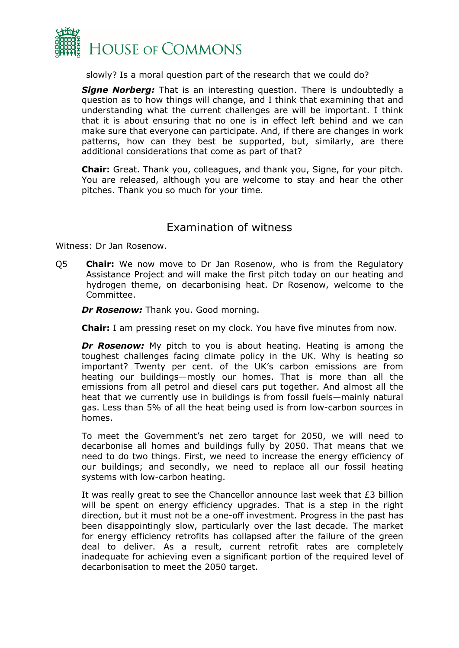

slowly? Is a moral question part of the research that we could do?

*Signe Norberg:* That is an interesting question. There is undoubtedly a question as to how things will change, and I think that examining that and understanding what the current challenges are will be important. I think that it is about ensuring that no one is in effect left behind and we can make sure that everyone can participate. And, if there are changes in work patterns, how can they best be supported, but, similarly, are there additional considerations that come as part of that?

**Chair:** Great. Thank you, colleagues, and thank you, Signe, for your pitch. You are released, although you are welcome to stay and hear the other pitches. Thank you so much for your time.

#### <span id="page-4-0"></span>Examination of witness

Witness: Dr Jan Rosenow.

Q5 **Chair:** We now move to Dr Jan Rosenow, who is from the Regulatory Assistance Project and will make the first pitch today on our heating and hydrogen theme, on decarbonising heat. Dr Rosenow, welcome to the Committee.

*Dr Rosenow:* Thank you. Good morning.

**Chair:** I am pressing reset on my clock. You have five minutes from now.

**Dr Rosenow:** My pitch to you is about heating. Heating is among the toughest challenges facing climate policy in the UK. Why is heating so important? Twenty per cent. of the UK's carbon emissions are from heating our buildings—mostly our homes. That is more than all the emissions from all petrol and diesel cars put together. And almost all the heat that we currently use in buildings is from fossil fuels—mainly natural gas. Less than 5% of all the heat being used is from low-carbon sources in homes.

To meet the Government's net zero target for 2050, we will need to decarbonise all homes and buildings fully by 2050. That means that we need to do two things. First, we need to increase the energy efficiency of our buildings; and secondly, we need to replace all our fossil heating systems with low-carbon heating.

It was really great to see the Chancellor announce last week that £3 billion will be spent on energy efficiency upgrades. That is a step in the right direction, but it must not be a one-off investment. Progress in the past has been disappointingly slow, particularly over the last decade. The market for energy efficiency retrofits has collapsed after the failure of the green deal to deliver. As a result, current retrofit rates are completely inadequate for achieving even a significant portion of the required level of decarbonisation to meet the 2050 target.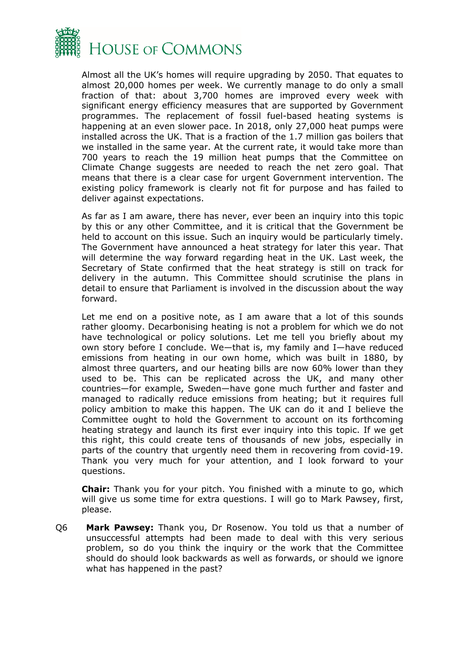

Almost all the UK's homes will require upgrading by 2050. That equates to almost 20,000 homes per week. We currently manage to do only a small fraction of that: about 3,700 homes are improved every week with significant energy efficiency measures that are supported by Government programmes. The replacement of fossil fuel-based heating systems is happening at an even slower pace. In 2018, only 27,000 heat pumps were installed across the UK. That is a fraction of the 1.7 million gas boilers that we installed in the same year. At the current rate, it would take more than 700 years to reach the 19 million heat pumps that the Committee on Climate Change suggests are needed to reach the net zero goal. That means that there is a clear case for urgent Government intervention. The existing policy framework is clearly not fit for purpose and has failed to deliver against expectations.

As far as I am aware, there has never, ever been an inquiry into this topic by this or any other Committee, and it is critical that the Government be held to account on this issue. Such an inquiry would be particularly timely. The Government have announced a heat strategy for later this year. That will determine the way forward regarding heat in the UK. Last week, the Secretary of State confirmed that the heat strategy is still on track for delivery in the autumn. This Committee should scrutinise the plans in detail to ensure that Parliament is involved in the discussion about the way forward.

Let me end on a positive note, as I am aware that a lot of this sounds rather gloomy. Decarbonising heating is not a problem for which we do not have technological or policy solutions. Let me tell you briefly about my own story before I conclude. We—that is, my family and I—have reduced emissions from heating in our own home, which was built in 1880, by almost three quarters, and our heating bills are now 60% lower than they used to be. This can be replicated across the UK, and many other countries—for example, Sweden—have gone much further and faster and managed to radically reduce emissions from heating; but it requires full policy ambition to make this happen. The UK can do it and I believe the Committee ought to hold the Government to account on its forthcoming heating strategy and launch its first ever inquiry into this topic. If we get this right, this could create tens of thousands of new jobs, especially in parts of the country that urgently need them in recovering from covid-19. Thank you very much for your attention, and I look forward to your questions.

**Chair:** Thank you for your pitch. You finished with a minute to go, which will give us some time for extra questions. I will go to Mark Pawsey, first, please.

Q6 **Mark Pawsey:** Thank you, Dr Rosenow. You told us that a number of unsuccessful attempts had been made to deal with this very serious problem, so do you think the inquiry or the work that the Committee should do should look backwards as well as forwards, or should we ignore what has happened in the past?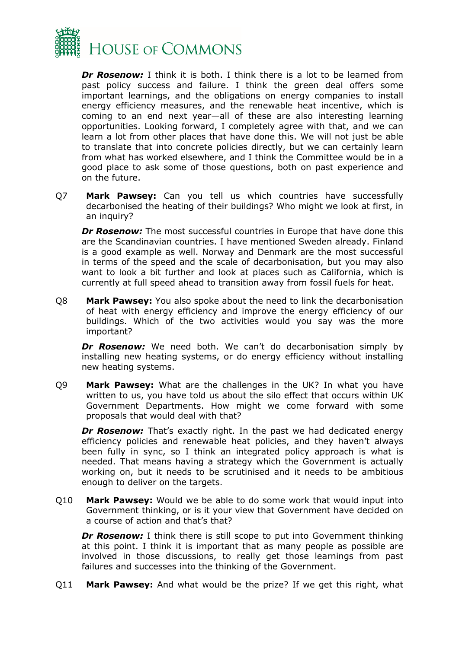

*Dr Rosenow:* I think it is both. I think there is a lot to be learned from past policy success and failure. I think the green deal offers some important learnings, and the obligations on energy companies to install energy efficiency measures, and the renewable heat incentive, which is coming to an end next year—all of these are also interesting learning opportunities. Looking forward, I completely agree with that, and we can learn a lot from other places that have done this. We will not just be able to translate that into concrete policies directly, but we can certainly learn from what has worked elsewhere, and I think the Committee would be in a good place to ask some of those questions, both on past experience and on the future.

Q7 **Mark Pawsey:** Can you tell us which countries have successfully decarbonised the heating of their buildings? Who might we look at first, in an inquiry?

**Dr Rosenow:** The most successful countries in Europe that have done this are the Scandinavian countries. I have mentioned Sweden already. Finland is a good example as well. Norway and Denmark are the most successful in terms of the speed and the scale of decarbonisation, but you may also want to look a bit further and look at places such as California, which is currently at full speed ahead to transition away from fossil fuels for heat.

Q8 **Mark Pawsey:** You also spoke about the need to link the decarbonisation of heat with energy efficiency and improve the energy efficiency of our buildings. Which of the two activities would you say was the more important?

**Dr Rosenow:** We need both. We can't do decarbonisation simply by installing new heating systems, or do energy efficiency without installing new heating systems.

Q9 **Mark Pawsey:** What are the challenges in the UK? In what you have written to us, you have told us about the silo effect that occurs within UK Government Departments. How might we come forward with some proposals that would deal with that?

**Dr Rosenow:** That's exactly right. In the past we had dedicated energy efficiency policies and renewable heat policies, and they haven't always been fully in sync, so I think an integrated policy approach is what is needed. That means having a strategy which the Government is actually working on, but it needs to be scrutinised and it needs to be ambitious enough to deliver on the targets.

Q10 **Mark Pawsey:** Would we be able to do some work that would input into Government thinking, or is it your view that Government have decided on a course of action and that's that?

**Dr Rosenow:** I think there is still scope to put into Government thinking at this point. I think it is important that as many people as possible are involved in those discussions, to really get those learnings from past failures and successes into the thinking of the Government.

Q11 **Mark Pawsey:** And what would be the prize? If we get this right, what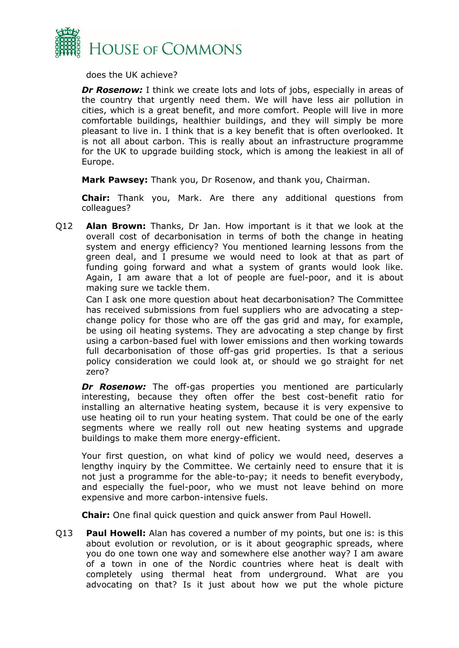

does the UK achieve?

**Dr Rosenow:** I think we create lots and lots of jobs, especially in areas of the country that urgently need them. We will have less air pollution in cities, which is a great benefit, and more comfort. People will live in more comfortable buildings, healthier buildings, and they will simply be more pleasant to live in. I think that is a key benefit that is often overlooked. It is not all about carbon. This is really about an infrastructure programme for the UK to upgrade building stock, which is among the leakiest in all of Europe.

**Mark Pawsey:** Thank you, Dr Rosenow, and thank you, Chairman.

**Chair:** Thank you, Mark. Are there any additional questions from colleagues?

Q12 **Alan Brown:** Thanks, Dr Jan. How important is it that we look at the overall cost of decarbonisation in terms of both the change in heating system and energy efficiency? You mentioned learning lessons from the green deal, and I presume we would need to look at that as part of funding going forward and what a system of grants would look like. Again, I am aware that a lot of people are fuel-poor, and it is about making sure we tackle them.

Can I ask one more question about heat decarbonisation? The Committee has received submissions from fuel suppliers who are advocating a stepchange policy for those who are off the gas grid and may, for example, be using oil heating systems. They are advocating a step change by first using a carbon-based fuel with lower emissions and then working towards full decarbonisation of those off-gas grid properties. Is that a serious policy consideration we could look at, or should we go straight for net zero?

*Dr Rosenow:* The off-gas properties you mentioned are particularly interesting, because they often offer the best cost-benefit ratio for installing an alternative heating system, because it is very expensive to use heating oil to run your heating system. That could be one of the early segments where we really roll out new heating systems and upgrade buildings to make them more energy-efficient.

Your first question, on what kind of policy we would need, deserves a lengthy inquiry by the Committee. We certainly need to ensure that it is not just a programme for the able-to-pay; it needs to benefit everybody, and especially the fuel-poor, who we must not leave behind on more expensive and more carbon-intensive fuels.

**Chair:** One final quick question and quick answer from Paul Howell.

Q13 **Paul Howell:** Alan has covered a number of my points, but one is: is this about evolution or revolution, or is it about geographic spreads, where you do one town one way and somewhere else another way? I am aware of a town in one of the Nordic countries where heat is dealt with completely using thermal heat from underground. What are you advocating on that? Is it just about how we put the whole picture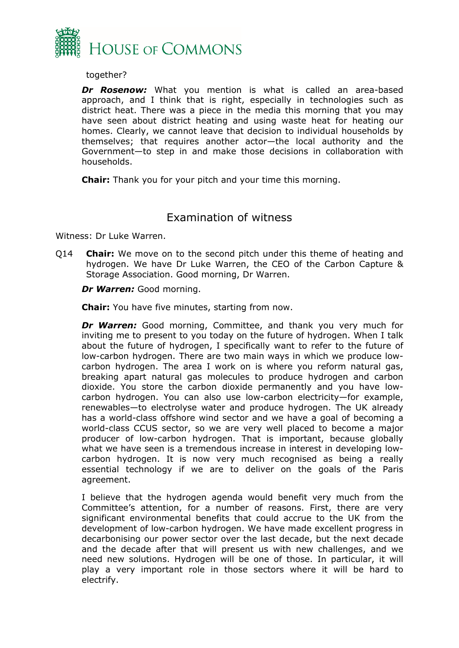

together?

*Dr Rosenow:* What you mention is what is called an area-based approach, and I think that is right, especially in technologies such as district heat. There was a piece in the media this morning that you may have seen about district heating and using waste heat for heating our homes. Clearly, we cannot leave that decision to individual households by themselves; that requires another actor—the local authority and the Government—to step in and make those decisions in collaboration with households.

**Chair:** Thank you for your pitch and your time this morning.

## <span id="page-8-0"></span>Examination of witness

Witness: Dr Luke Warren.

Q14 **Chair:** We move on to the second pitch under this theme of heating and hydrogen. We have Dr Luke Warren, the CEO of the Carbon Capture & Storage Association. Good morning, Dr Warren.

*Dr Warren:* Good morning.

**Chair:** You have five minutes, starting from now.

*Dr Warren:* Good morning, Committee, and thank you very much for inviting me to present to you today on the future of hydrogen. When I talk about the future of hydrogen, I specifically want to refer to the future of low-carbon hydrogen. There are two main ways in which we produce lowcarbon hydrogen. The area I work on is where you reform natural gas, breaking apart natural gas molecules to produce hydrogen and carbon dioxide. You store the carbon dioxide permanently and you have lowcarbon hydrogen. You can also use low-carbon electricity—for example, renewables—to electrolyse water and produce hydrogen. The UK already has a world-class offshore wind sector and we have a goal of becoming a world-class CCUS sector, so we are very well placed to become a major producer of low-carbon hydrogen. That is important, because globally what we have seen is a tremendous increase in interest in developing lowcarbon hydrogen. It is now very much recognised as being a really essential technology if we are to deliver on the goals of the Paris agreement.

I believe that the hydrogen agenda would benefit very much from the Committee's attention, for a number of reasons. First, there are very significant environmental benefits that could accrue to the UK from the development of low-carbon hydrogen. We have made excellent progress in decarbonising our power sector over the last decade, but the next decade and the decade after that will present us with new challenges, and we need new solutions. Hydrogen will be one of those. In particular, it will play a very important role in those sectors where it will be hard to electrify.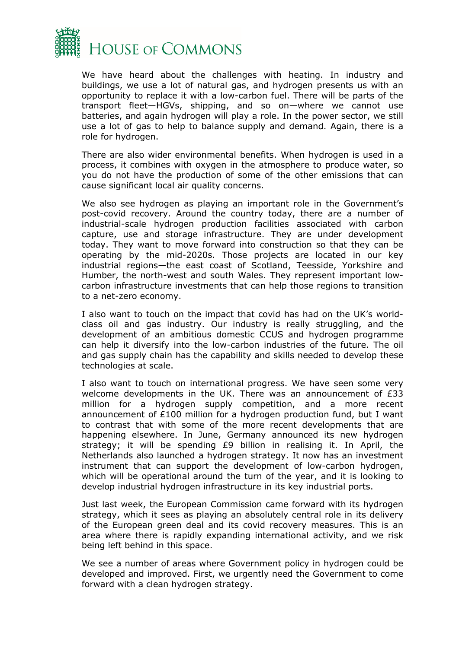

We have heard about the challenges with heating. In industry and buildings, we use a lot of natural gas, and hydrogen presents us with an opportunity to replace it with a low-carbon fuel. There will be parts of the transport fleet—HGVs, shipping, and so on—where we cannot use batteries, and again hydrogen will play a role. In the power sector, we still use a lot of gas to help to balance supply and demand. Again, there is a role for hydrogen.

There are also wider environmental benefits. When hydrogen is used in a process, it combines with oxygen in the atmosphere to produce water, so you do not have the production of some of the other emissions that can cause significant local air quality concerns.

We also see hydrogen as playing an important role in the Government's post-covid recovery. Around the country today, there are a number of industrial-scale hydrogen production facilities associated with carbon capture, use and storage infrastructure. They are under development today. They want to move forward into construction so that they can be operating by the mid-2020s. Those projects are located in our key industrial regions—the east coast of Scotland, Teesside, Yorkshire and Humber, the north-west and south Wales. They represent important lowcarbon infrastructure investments that can help those regions to transition to a net-zero economy.

I also want to touch on the impact that covid has had on the UK's worldclass oil and gas industry. Our industry is really struggling, and the development of an ambitious domestic CCUS and hydrogen programme can help it diversify into the low-carbon industries of the future. The oil and gas supply chain has the capability and skills needed to develop these technologies at scale.

I also want to touch on international progress. We have seen some very welcome developments in the UK. There was an announcement of £33 million for a hydrogen supply competition, and a more recent announcement of £100 million for a hydrogen production fund, but I want to contrast that with some of the more recent developments that are happening elsewhere. In June, Germany announced its new hydrogen strategy; it will be spending £9 billion in realising it. In April, the Netherlands also launched a hydrogen strategy. It now has an investment instrument that can support the development of low-carbon hydrogen, which will be operational around the turn of the year, and it is looking to develop industrial hydrogen infrastructure in its key industrial ports.

Just last week, the European Commission came forward with its hydrogen strategy, which it sees as playing an absolutely central role in its delivery of the European green deal and its covid recovery measures. This is an area where there is rapidly expanding international activity, and we risk being left behind in this space.

We see a number of areas where Government policy in hydrogen could be developed and improved. First, we urgently need the Government to come forward with a clean hydrogen strategy.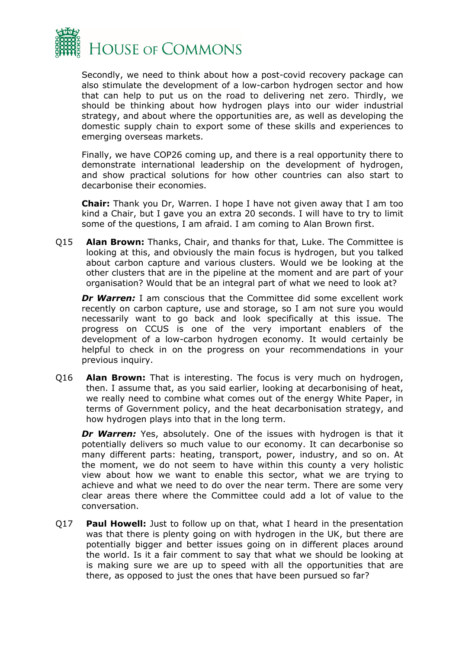

Secondly, we need to think about how a post-covid recovery package can also stimulate the development of a low-carbon hydrogen sector and how that can help to put us on the road to delivering net zero. Thirdly, we should be thinking about how hydrogen plays into our wider industrial strategy, and about where the opportunities are, as well as developing the domestic supply chain to export some of these skills and experiences to emerging overseas markets.

Finally, we have COP26 coming up, and there is a real opportunity there to demonstrate international leadership on the development of hydrogen, and show practical solutions for how other countries can also start to decarbonise their economies.

**Chair:** Thank you Dr, Warren. I hope I have not given away that I am too kind a Chair, but I gave you an extra 20 seconds. I will have to try to limit some of the questions, I am afraid. I am coming to Alan Brown first.

Q15 **Alan Brown:** Thanks, Chair, and thanks for that, Luke. The Committee is looking at this, and obviously the main focus is hydrogen, but you talked about carbon capture and various clusters. Would we be looking at the other clusters that are in the pipeline at the moment and are part of your organisation? Would that be an integral part of what we need to look at?

*Dr Warren:* I am conscious that the Committee did some excellent work recently on carbon capture, use and storage, so I am not sure you would necessarily want to go back and look specifically at this issue. The progress on CCUS is one of the very important enablers of the development of a low-carbon hydrogen economy. It would certainly be helpful to check in on the progress on your recommendations in your previous inquiry.

Q16 **Alan Brown:** That is interesting. The focus is very much on hydrogen, then. I assume that, as you said earlier, looking at decarbonising of heat, we really need to combine what comes out of the energy White Paper, in terms of Government policy, and the heat decarbonisation strategy, and how hydrogen plays into that in the long term.

*Dr Warren:* Yes, absolutely. One of the issues with hydrogen is that it potentially delivers so much value to our economy. It can decarbonise so many different parts: heating, transport, power, industry, and so on. At the moment, we do not seem to have within this county a very holistic view about how we want to enable this sector, what we are trying to achieve and what we need to do over the near term. There are some very clear areas there where the Committee could add a lot of value to the conversation.

Q17 **Paul Howell:** Just to follow up on that, what I heard in the presentation was that there is plenty going on with hydrogen in the UK, but there are potentially bigger and better issues going on in different places around the world. Is it a fair comment to say that what we should be looking at is making sure we are up to speed with all the opportunities that are there, as opposed to just the ones that have been pursued so far?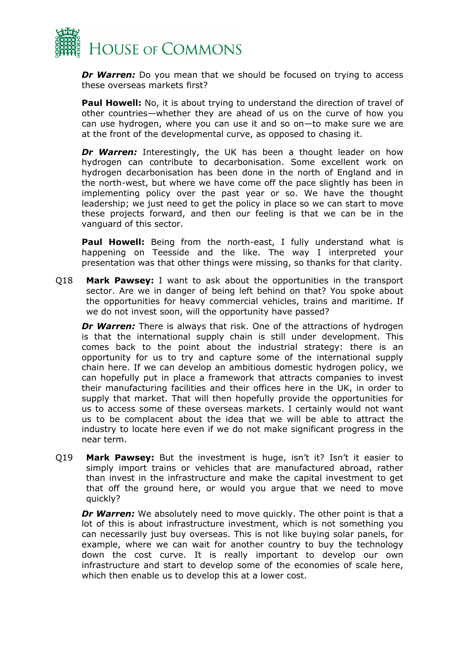

*Dr Warren:* Do you mean that we should be focused on trying to access these overseas markets first?

**Paul Howell:** No, it is about trying to understand the direction of travel of other countries—whether they are ahead of us on the curve of how you can use hydrogen, where you can use it and so on—to make sure we are at the front of the developmental curve, as opposed to chasing it.

**Dr Warren:** Interestingly, the UK has been a thought leader on how hydrogen can contribute to decarbonisation. Some excellent work on hydrogen decarbonisation has been done in the north of England and in the north-west, but where we have come off the pace slightly has been in implementing policy over the past year or so. We have the thought leadership; we just need to get the policy in place so we can start to move these projects forward, and then our feeling is that we can be in the vanguard of this sector.

**Paul Howell:** Being from the north-east, I fully understand what is happening on Teesside and the like. The way I interpreted your presentation was that other things were missing, so thanks for that clarity.

Q18 **Mark Pawsey:** I want to ask about the opportunities in the transport sector. Are we in danger of being left behind on that? You spoke about the opportunities for heavy commercial vehicles, trains and maritime. If we do not invest soon, will the opportunity have passed?

**Dr Warren:** There is always that risk. One of the attractions of hydrogen is that the international supply chain is still under development. This comes back to the point about the industrial strategy: there is an opportunity for us to try and capture some of the international supply chain here. If we can develop an ambitious domestic hydrogen policy, we can hopefully put in place a framework that attracts companies to invest their manufacturing facilities and their offices here in the UK, in order to supply that market. That will then hopefully provide the opportunities for us to access some of these overseas markets. I certainly would not want us to be complacent about the idea that we will be able to attract the industry to locate here even if we do not make significant progress in the near term.

Q19 **Mark Pawsey:** But the investment is huge, isn't it? Isn't it easier to simply import trains or vehicles that are manufactured abroad, rather than invest in the infrastructure and make the capital investment to get that off the ground here, or would you argue that we need to move quickly?

*Dr Warren:* We absolutely need to move quickly. The other point is that a lot of this is about infrastructure investment, which is not something you can necessarily just buy overseas. This is not like buying solar panels, for example, where we can wait for another country to buy the technology down the cost curve. It is really important to develop our own infrastructure and start to develop some of the economies of scale here, which then enable us to develop this at a lower cost.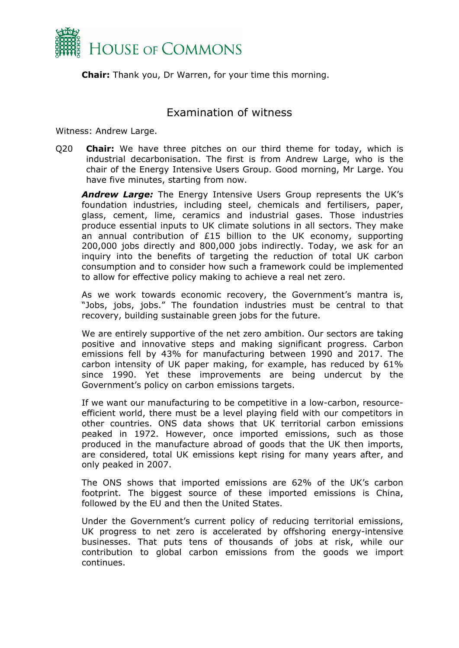

**Chair:** Thank you, Dr Warren, for your time this morning.

#### <span id="page-12-0"></span>Examination of witness

Witness: Andrew Large.

Q20 **Chair:** We have three pitches on our third theme for today, which is industrial decarbonisation. The first is from Andrew Large, who is the chair of the Energy Intensive Users Group. Good morning, Mr Large. You have five minutes, starting from now.

*Andrew Large:* The Energy Intensive Users Group represents the UK's foundation industries, including steel, chemicals and fertilisers, paper, glass, cement, lime, ceramics and industrial gases. Those industries produce essential inputs to UK climate solutions in all sectors. They make an annual contribution of £15 billion to the UK economy, supporting 200,000 jobs directly and 800,000 jobs indirectly. Today, we ask for an inquiry into the benefits of targeting the reduction of total UK carbon consumption and to consider how such a framework could be implemented to allow for effective policy making to achieve a real net zero.

As we work towards economic recovery, the Government's mantra is, "Jobs, jobs, jobs." The foundation industries must be central to that recovery, building sustainable green jobs for the future.

We are entirely supportive of the net zero ambition. Our sectors are taking positive and innovative steps and making significant progress. Carbon emissions fell by 43% for manufacturing between 1990 and 2017. The carbon intensity of UK paper making, for example, has reduced by 61% since 1990. Yet these improvements are being undercut by the Government's policy on carbon emissions targets.

If we want our manufacturing to be competitive in a low-carbon, resourceefficient world, there must be a level playing field with our competitors in other countries. ONS data shows that UK territorial carbon emissions peaked in 1972. However, once imported emissions, such as those produced in the manufacture abroad of goods that the UK then imports, are considered, total UK emissions kept rising for many years after, and only peaked in 2007.

The ONS shows that imported emissions are 62% of the UK's carbon footprint. The biggest source of these imported emissions is China, followed by the EU and then the United States.

Under the Government's current policy of reducing territorial emissions, UK progress to net zero is accelerated by offshoring energy-intensive businesses. That puts tens of thousands of jobs at risk, while our contribution to global carbon emissions from the goods we import continues.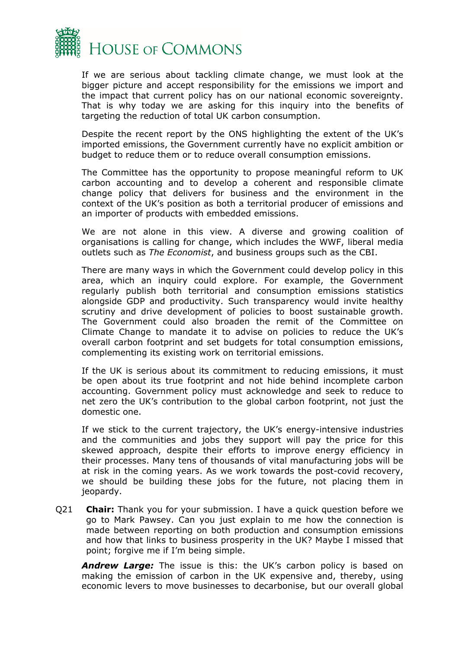

If we are serious about tackling climate change, we must look at the bigger picture and accept responsibility for the emissions we import and the impact that current policy has on our national economic sovereignty. That is why today we are asking for this inquiry into the benefits of targeting the reduction of total UK carbon consumption.

Despite the recent report by the ONS highlighting the extent of the UK's imported emissions, the Government currently have no explicit ambition or budget to reduce them or to reduce overall consumption emissions.

The Committee has the opportunity to propose meaningful reform to UK carbon accounting and to develop a coherent and responsible climate change policy that delivers for business and the environment in the context of the UK's position as both a territorial producer of emissions and an importer of products with embedded emissions.

We are not alone in this view. A diverse and growing coalition of organisations is calling for change, which includes the WWF, liberal media outlets such as *The Economist*, and business groups such as the CBI.

There are many ways in which the Government could develop policy in this area, which an inquiry could explore. For example, the Government regularly publish both territorial and consumption emissions statistics alongside GDP and productivity. Such transparency would invite healthy scrutiny and drive development of policies to boost sustainable growth. The Government could also broaden the remit of the Committee on Climate Change to mandate it to advise on policies to reduce the UK's overall carbon footprint and set budgets for total consumption emissions, complementing its existing work on territorial emissions.

If the UK is serious about its commitment to reducing emissions, it must be open about its true footprint and not hide behind incomplete carbon accounting. Government policy must acknowledge and seek to reduce to net zero the UK's contribution to the global carbon footprint, not just the domestic one.

If we stick to the current trajectory, the UK's energy-intensive industries and the communities and jobs they support will pay the price for this skewed approach, despite their efforts to improve energy efficiency in their processes. Many tens of thousands of vital manufacturing jobs will be at risk in the coming years. As we work towards the post-covid recovery, we should be building these jobs for the future, not placing them in jeopardy.

Q21 **Chair:** Thank you for your submission. I have a quick question before we go to Mark Pawsey. Can you just explain to me how the connection is made between reporting on both production and consumption emissions and how that links to business prosperity in the UK? Maybe I missed that point; forgive me if I'm being simple.

*Andrew Large:* The issue is this: the UK's carbon policy is based on making the emission of carbon in the UK expensive and, thereby, using economic levers to move businesses to decarbonise, but our overall global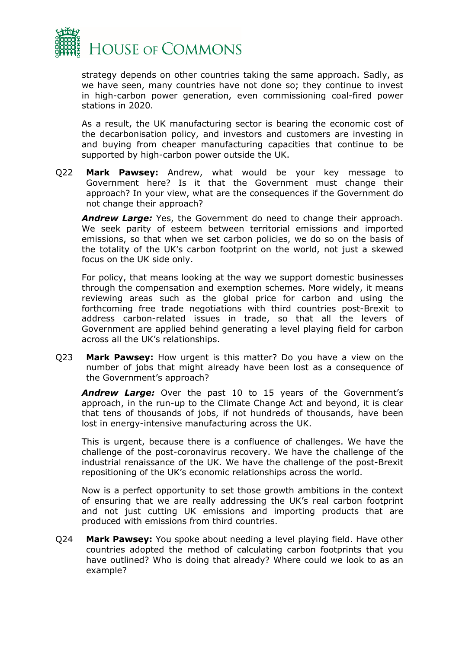

strategy depends on other countries taking the same approach. Sadly, as we have seen, many countries have not done so; they continue to invest in high-carbon power generation, even commissioning coal-fired power stations in 2020.

As a result, the UK manufacturing sector is bearing the economic cost of the decarbonisation policy, and investors and customers are investing in and buying from cheaper manufacturing capacities that continue to be supported by high-carbon power outside the UK.

Q22 **Mark Pawsey:** Andrew, what would be your key message to Government here? Is it that the Government must change their approach? In your view, what are the consequences if the Government do not change their approach?

*Andrew Large:* Yes, the Government do need to change their approach. We seek parity of esteem between territorial emissions and imported emissions, so that when we set carbon policies, we do so on the basis of the totality of the UK's carbon footprint on the world, not just a skewed focus on the UK side only.

For policy, that means looking at the way we support domestic businesses through the compensation and exemption schemes. More widely, it means reviewing areas such as the global price for carbon and using the forthcoming free trade negotiations with third countries post-Brexit to address carbon-related issues in trade, so that all the levers of Government are applied behind generating a level playing field for carbon across all the UK's relationships.

Q23 **Mark Pawsey:** How urgent is this matter? Do you have a view on the number of jobs that might already have been lost as a consequence of the Government's approach?

*Andrew Large:* Over the past 10 to 15 years of the Government's approach, in the run-up to the Climate Change Act and beyond, it is clear that tens of thousands of jobs, if not hundreds of thousands, have been lost in energy-intensive manufacturing across the UK.

This is urgent, because there is a confluence of challenges. We have the challenge of the post-coronavirus recovery. We have the challenge of the industrial renaissance of the UK. We have the challenge of the post-Brexit repositioning of the UK's economic relationships across the world.

Now is a perfect opportunity to set those growth ambitions in the context of ensuring that we are really addressing the UK's real carbon footprint and not just cutting UK emissions and importing products that are produced with emissions from third countries.

Q24 **Mark Pawsey:** You spoke about needing a level playing field. Have other countries adopted the method of calculating carbon footprints that you have outlined? Who is doing that already? Where could we look to as an example?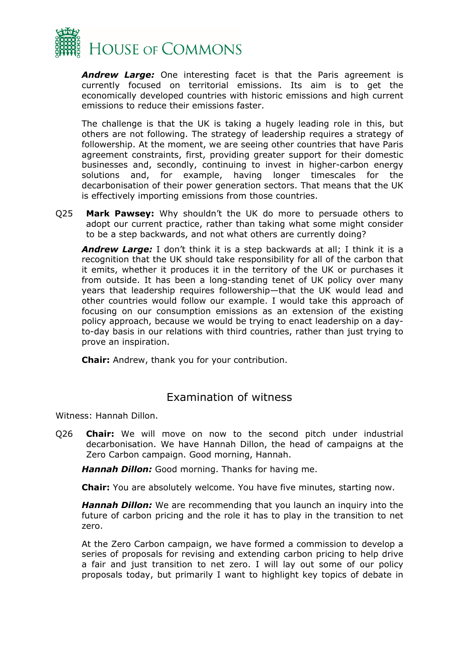

*Andrew Large:* One interesting facet is that the Paris agreement is currently focused on territorial emissions. Its aim is to get the economically developed countries with historic emissions and high current emissions to reduce their emissions faster.

The challenge is that the UK is taking a hugely leading role in this, but others are not following. The strategy of leadership requires a strategy of followership. At the moment, we are seeing other countries that have Paris agreement constraints, first, providing greater support for their domestic businesses and, secondly, continuing to invest in higher-carbon energy solutions and, for example, having longer timescales for the decarbonisation of their power generation sectors. That means that the UK is effectively importing emissions from those countries.

Q25 **Mark Pawsey:** Why shouldn't the UK do more to persuade others to adopt our current practice, rather than taking what some might consider to be a step backwards, and not what others are currently doing?

*Andrew Large:* I don't think it is a step backwards at all; I think it is a recognition that the UK should take responsibility for all of the carbon that it emits, whether it produces it in the territory of the UK or purchases it from outside. It has been a long-standing tenet of UK policy over many years that leadership requires followership—that the UK would lead and other countries would follow our example. I would take this approach of focusing on our consumption emissions as an extension of the existing policy approach, because we would be trying to enact leadership on a dayto-day basis in our relations with third countries, rather than just trying to prove an inspiration.

**Chair:** Andrew, thank you for your contribution.

## <span id="page-15-0"></span>Examination of witness

Witness: Hannah Dillon.

Q26 **Chair:** We will move on now to the second pitch under industrial decarbonisation. We have Hannah Dillon, the head of campaigns at the Zero Carbon campaign. Good morning, Hannah.

*Hannah Dillon:* Good morning. Thanks for having me.

**Chair:** You are absolutely welcome. You have five minutes, starting now.

*Hannah Dillon:* We are recommending that you launch an inquiry into the future of carbon pricing and the role it has to play in the transition to net zero.

At the Zero Carbon campaign, we have formed a commission to develop a series of proposals for revising and extending carbon pricing to help drive a fair and just transition to net zero. I will lay out some of our policy proposals today, but primarily I want to highlight key topics of debate in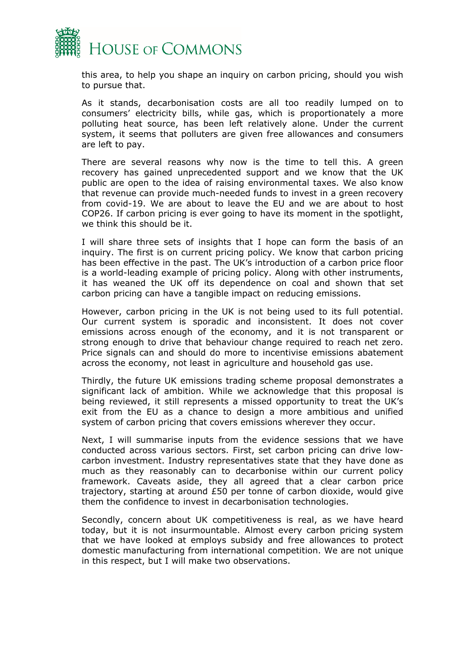

this area, to help you shape an inquiry on carbon pricing, should you wish to pursue that.

As it stands, decarbonisation costs are all too readily lumped on to consumers' electricity bills, while gas, which is proportionately a more polluting heat source, has been left relatively alone. Under the current system, it seems that polluters are given free allowances and consumers are left to pay.

There are several reasons why now is the time to tell this. A green recovery has gained unprecedented support and we know that the UK public are open to the idea of raising environmental taxes. We also know that revenue can provide much-needed funds to invest in a green recovery from covid-19. We are about to leave the EU and we are about to host COP26. If carbon pricing is ever going to have its moment in the spotlight, we think this should be it.

I will share three sets of insights that I hope can form the basis of an inquiry. The first is on current pricing policy. We know that carbon pricing has been effective in the past. The UK's introduction of a carbon price floor is a world-leading example of pricing policy. Along with other instruments, it has weaned the UK off its dependence on coal and shown that set carbon pricing can have a tangible impact on reducing emissions.

However, carbon pricing in the UK is not being used to its full potential. Our current system is sporadic and inconsistent. It does not cover emissions across enough of the economy, and it is not transparent or strong enough to drive that behaviour change required to reach net zero. Price signals can and should do more to incentivise emissions abatement across the economy, not least in agriculture and household gas use.

Thirdly, the future UK emissions trading scheme proposal demonstrates a significant lack of ambition. While we acknowledge that this proposal is being reviewed, it still represents a missed opportunity to treat the UK's exit from the EU as a chance to design a more ambitious and unified system of carbon pricing that covers emissions wherever they occur.

Next, I will summarise inputs from the evidence sessions that we have conducted across various sectors. First, set carbon pricing can drive lowcarbon investment. Industry representatives state that they have done as much as they reasonably can to decarbonise within our current policy framework. Caveats aside, they all agreed that a clear carbon price trajectory, starting at around £50 per tonne of carbon dioxide, would give them the confidence to invest in decarbonisation technologies.

Secondly, concern about UK competitiveness is real, as we have heard today, but it is not insurmountable. Almost every carbon pricing system that we have looked at employs subsidy and free allowances to protect domestic manufacturing from international competition. We are not unique in this respect, but I will make two observations.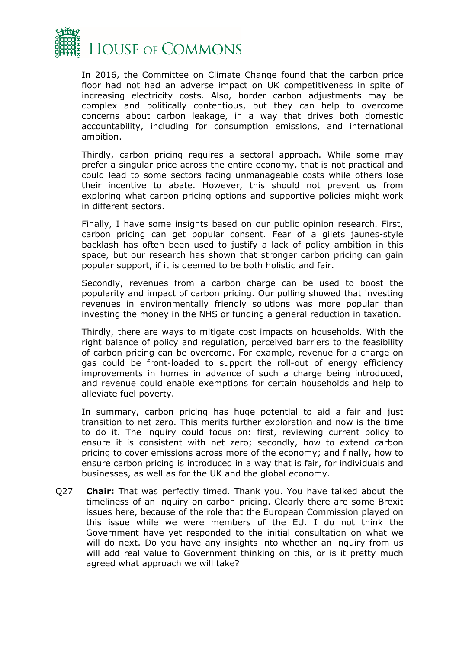

In 2016, the Committee on Climate Change found that the carbon price floor had not had an adverse impact on UK competitiveness in spite of increasing electricity costs. Also, border carbon adjustments may be complex and politically contentious, but they can help to overcome concerns about carbon leakage, in a way that drives both domestic accountability, including for consumption emissions, and international ambition.

Thirdly, carbon pricing requires a sectoral approach. While some may prefer a singular price across the entire economy, that is not practical and could lead to some sectors facing unmanageable costs while others lose their incentive to abate. However, this should not prevent us from exploring what carbon pricing options and supportive policies might work in different sectors.

Finally, I have some insights based on our public opinion research. First, carbon pricing can get popular consent. Fear of a gilets jaunes-style backlash has often been used to justify a lack of policy ambition in this space, but our research has shown that stronger carbon pricing can gain popular support, if it is deemed to be both holistic and fair.

Secondly, revenues from a carbon charge can be used to boost the popularity and impact of carbon pricing. Our polling showed that investing revenues in environmentally friendly solutions was more popular than investing the money in the NHS or funding a general reduction in taxation.

Thirdly, there are ways to mitigate cost impacts on households. With the right balance of policy and regulation, perceived barriers to the feasibility of carbon pricing can be overcome. For example, revenue for a charge on gas could be front-loaded to support the roll-out of energy efficiency improvements in homes in advance of such a charge being introduced, and revenue could enable exemptions for certain households and help to alleviate fuel poverty.

In summary, carbon pricing has huge potential to aid a fair and just transition to net zero. This merits further exploration and now is the time to do it. The inquiry could focus on: first, reviewing current policy to ensure it is consistent with net zero; secondly, how to extend carbon pricing to cover emissions across more of the economy; and finally, how to ensure carbon pricing is introduced in a way that is fair, for individuals and businesses, as well as for the UK and the global economy.

Q27 **Chair:** That was perfectly timed. Thank you. You have talked about the timeliness of an inquiry on carbon pricing. Clearly there are some Brexit issues here, because of the role that the European Commission played on this issue while we were members of the EU. I do not think the Government have yet responded to the initial consultation on what we will do next. Do you have any insights into whether an inquiry from us will add real value to Government thinking on this, or is it pretty much agreed what approach we will take?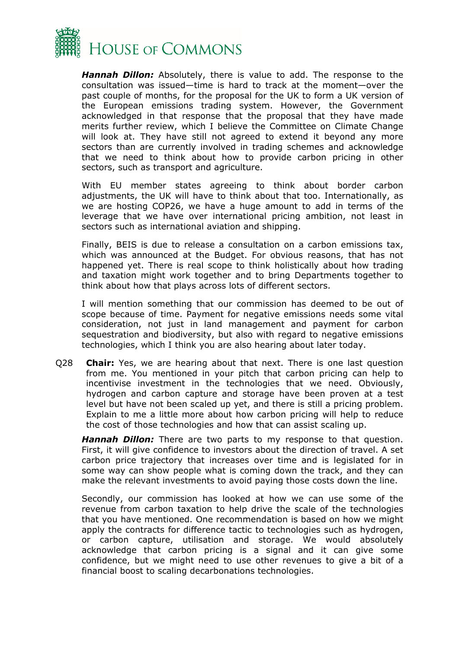

*Hannah Dillon:* Absolutely, there is value to add. The response to the consultation was issued—time is hard to track at the moment—over the past couple of months, for the proposal for the UK to form a UK version of the European emissions trading system. However, the Government acknowledged in that response that the proposal that they have made merits further review, which I believe the Committee on Climate Change will look at. They have still not agreed to extend it beyond any more sectors than are currently involved in trading schemes and acknowledge that we need to think about how to provide carbon pricing in other sectors, such as transport and agriculture.

With EU member states agreeing to think about border carbon adjustments, the UK will have to think about that too. Internationally, as we are hosting COP26, we have a huge amount to add in terms of the leverage that we have over international pricing ambition, not least in sectors such as international aviation and shipping.

Finally, BEIS is due to release a consultation on a carbon emissions tax, which was announced at the Budget. For obvious reasons, that has not happened yet. There is real scope to think holistically about how trading and taxation might work together and to bring Departments together to think about how that plays across lots of different sectors.

I will mention something that our commission has deemed to be out of scope because of time. Payment for negative emissions needs some vital consideration, not just in land management and payment for carbon sequestration and biodiversity, but also with regard to negative emissions technologies, which I think you are also hearing about later today.

Q28 **Chair:** Yes, we are hearing about that next. There is one last question from me. You mentioned in your pitch that carbon pricing can help to incentivise investment in the technologies that we need. Obviously, hydrogen and carbon capture and storage have been proven at a test level but have not been scaled up yet, and there is still a pricing problem. Explain to me a little more about how carbon pricing will help to reduce the cost of those technologies and how that can assist scaling up.

*Hannah Dillon:* There are two parts to my response to that question. First, it will give confidence to investors about the direction of travel. A set carbon price trajectory that increases over time and is legislated for in some way can show people what is coming down the track, and they can make the relevant investments to avoid paying those costs down the line.

Secondly, our commission has looked at how we can use some of the revenue from carbon taxation to help drive the scale of the technologies that you have mentioned. One recommendation is based on how we might apply the contracts for difference tactic to technologies such as hydrogen, or carbon capture, utilisation and storage. We would absolutely acknowledge that carbon pricing is a signal and it can give some confidence, but we might need to use other revenues to give a bit of a financial boost to scaling decarbonations technologies.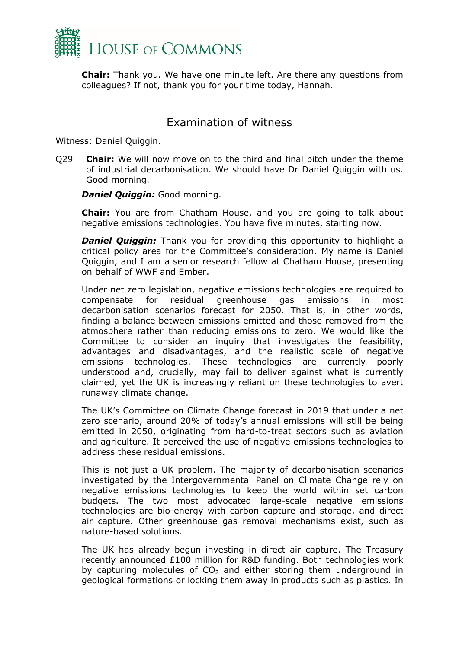

**Chair:** Thank you. We have one minute left. Are there any questions from colleagues? If not, thank you for your time today, Hannah.

#### <span id="page-19-0"></span>Examination of witness

Witness: Daniel Quiggin.

Q29 **Chair:** We will now move on to the third and final pitch under the theme of industrial decarbonisation. We should have Dr Daniel Quiggin with us. Good morning.

*Daniel Quiggin:* Good morning.

**Chair:** You are from Chatham House, and you are going to talk about negative emissions technologies. You have five minutes, starting now.

*Daniel Quiggin:* Thank you for providing this opportunity to highlight a critical policy area for the Committee's consideration. My name is Daniel Quiggin, and I am a senior research fellow at Chatham House, presenting on behalf of WWF and Ember.

Under net zero legislation, negative emissions technologies are required to compensate for residual greenhouse gas emissions in most decarbonisation scenarios forecast for 2050. That is, in other words, finding a balance between emissions emitted and those removed from the atmosphere rather than reducing emissions to zero. We would like the Committee to consider an inquiry that investigates the feasibility, advantages and disadvantages, and the realistic scale of negative emissions technologies. These technologies are currently poorly understood and, crucially, may fail to deliver against what is currently claimed, yet the UK is increasingly reliant on these technologies to avert runaway climate change.

The UK's Committee on Climate Change forecast in 2019 that under a net zero scenario, around 20% of today's annual emissions will still be being emitted in 2050, originating from hard-to-treat sectors such as aviation and agriculture. It perceived the use of negative emissions technologies to address these residual emissions.

This is not just a UK problem. The majority of decarbonisation scenarios investigated by the Intergovernmental Panel on Climate Change rely on negative emissions technologies to keep the world within set carbon budgets. The two most advocated large-scale negative emissions technologies are bio-energy with carbon capture and storage, and direct air capture. Other greenhouse gas removal mechanisms exist, such as nature-based solutions.

The UK has already begun investing in direct air capture. The Treasury recently announced £100 million for R&D funding. Both technologies work by capturing molecules of  $CO<sub>2</sub>$  and either storing them underground in geological formations or locking them away in products such as plastics. In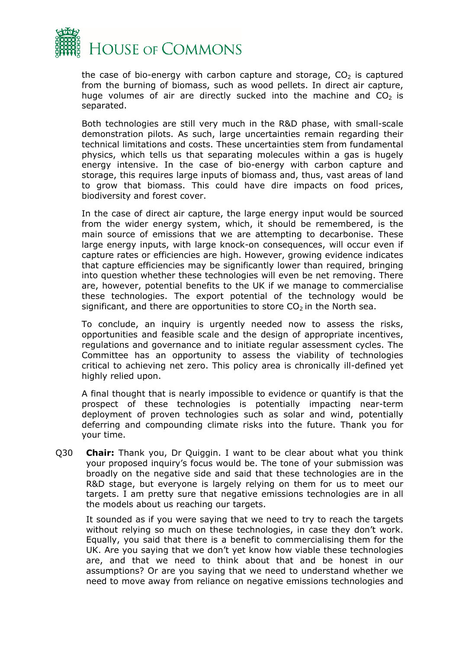

the case of bio-energy with carbon capture and storage,  $CO<sub>2</sub>$  is captured from the burning of biomass, such as wood pellets. In direct air capture, huge volumes of air are directly sucked into the machine and  $CO<sub>2</sub>$  is separated.

Both technologies are still very much in the R&D phase, with small-scale demonstration pilots. As such, large uncertainties remain regarding their technical limitations and costs. These uncertainties stem from fundamental physics, which tells us that separating molecules within a gas is hugely energy intensive. In the case of bio-energy with carbon capture and storage, this requires large inputs of biomass and, thus, vast areas of land to grow that biomass. This could have dire impacts on food prices, biodiversity and forest cover.

In the case of direct air capture, the large energy input would be sourced from the wider energy system, which, it should be remembered, is the main source of emissions that we are attempting to decarbonise. These large energy inputs, with large knock-on consequences, will occur even if capture rates or efficiencies are high. However, growing evidence indicates that capture efficiencies may be significantly lower than required, bringing into question whether these technologies will even be net removing. There are, however, potential benefits to the UK if we manage to commercialise these technologies. The export potential of the technology would be significant, and there are opportunities to store  $CO<sub>2</sub>$  in the North sea.

To conclude, an inquiry is urgently needed now to assess the risks, opportunities and feasible scale and the design of appropriate incentives, regulations and governance and to initiate regular assessment cycles. The Committee has an opportunity to assess the viability of technologies critical to achieving net zero. This policy area is chronically ill-defined yet highly relied upon.

A final thought that is nearly impossible to evidence or quantify is that the prospect of these technologies is potentially impacting near-term deployment of proven technologies such as solar and wind, potentially deferring and compounding climate risks into the future. Thank you for your time.

Q30 **Chair:** Thank you, Dr Quiggin. I want to be clear about what you think your proposed inquiry's focus would be. The tone of your submission was broadly on the negative side and said that these technologies are in the R&D stage, but everyone is largely relying on them for us to meet our targets. I am pretty sure that negative emissions technologies are in all the models about us reaching our targets.

It sounded as if you were saying that we need to try to reach the targets without relying so much on these technologies, in case they don't work. Equally, you said that there is a benefit to commercialising them for the UK. Are you saying that we don't yet know how viable these technologies are, and that we need to think about that and be honest in our assumptions? Or are you saying that we need to understand whether we need to move away from reliance on negative emissions technologies and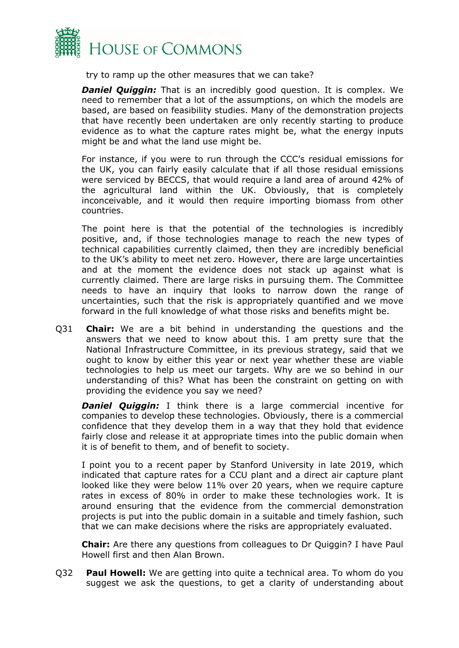

try to ramp up the other measures that we can take?

*Daniel Quiggin:* That is an incredibly good question. It is complex. We need to remember that a lot of the assumptions, on which the models are based, are based on feasibility studies. Many of the demonstration projects that have recently been undertaken are only recently starting to produce evidence as to what the capture rates might be, what the energy inputs might be and what the land use might be.

For instance, if you were to run through the CCC's residual emissions for the UK, you can fairly easily calculate that if all those residual emissions were serviced by BECCS, that would require a land area of around 42% of the agricultural land within the UK. Obviously, that is completely inconceivable, and it would then require importing biomass from other countries.

The point here is that the potential of the technologies is incredibly positive, and, if those technologies manage to reach the new types of technical capabilities currently claimed, then they are incredibly beneficial to the UK's ability to meet net zero. However, there are large uncertainties and at the moment the evidence does not stack up against what is currently claimed. There are large risks in pursuing them. The Committee needs to have an inquiry that looks to narrow down the range of uncertainties, such that the risk is appropriately quantified and we move forward in the full knowledge of what those risks and benefits might be.

Q31 **Chair:** We are a bit behind in understanding the questions and the answers that we need to know about this. I am pretty sure that the National Infrastructure Committee, in its previous strategy, said that we ought to know by either this year or next year whether these are viable technologies to help us meet our targets. Why are we so behind in our understanding of this? What has been the constraint on getting on with providing the evidence you say we need?

*Daniel Quiggin:* I think there is a large commercial incentive for companies to develop these technologies. Obviously, there is a commercial confidence that they develop them in a way that they hold that evidence fairly close and release it at appropriate times into the public domain when it is of benefit to them, and of benefit to society.

I point you to a recent paper by Stanford University in late 2019, which indicated that capture rates for a CCU plant and a direct air capture plant looked like they were below 11% over 20 years, when we require capture rates in excess of 80% in order to make these technologies work. It is around ensuring that the evidence from the commercial demonstration projects is put into the public domain in a suitable and timely fashion, such that we can make decisions where the risks are appropriately evaluated.

**Chair:** Are there any questions from colleagues to Dr Quiggin? I have Paul Howell first and then Alan Brown.

Q32 **Paul Howell:** We are getting into quite a technical area. To whom do you suggest we ask the questions, to get a clarity of understanding about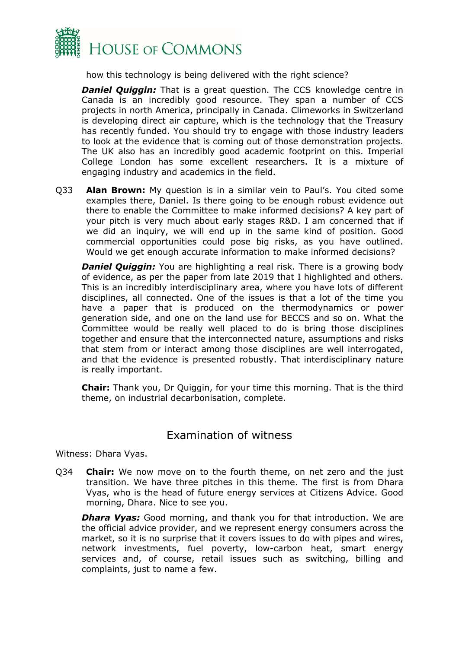

how this technology is being delivered with the right science?

*Daniel Quiggin:* That is a great question. The CCS knowledge centre in Canada is an incredibly good resource. They span a number of CCS projects in north America, principally in Canada. Climeworks in Switzerland is developing direct air capture, which is the technology that the Treasury has recently funded. You should try to engage with those industry leaders to look at the evidence that is coming out of those demonstration projects. The UK also has an incredibly good academic footprint on this. Imperial College London has some excellent researchers. It is a mixture of engaging industry and academics in the field.

Q33 **Alan Brown:** My question is in a similar vein to Paul's. You cited some examples there, Daniel. Is there going to be enough robust evidence out there to enable the Committee to make informed decisions? A key part of your pitch is very much about early stages R&D. I am concerned that if we did an inquiry, we will end up in the same kind of position. Good commercial opportunities could pose big risks, as you have outlined. Would we get enough accurate information to make informed decisions?

**Daniel Quiggin:** You are highlighting a real risk. There is a growing body of evidence, as per the paper from late 2019 that I highlighted and others. This is an incredibly interdisciplinary area, where you have lots of different disciplines, all connected. One of the issues is that a lot of the time you have a paper that is produced on the thermodynamics or power generation side, and one on the land use for BECCS and so on. What the Committee would be really well placed to do is bring those disciplines together and ensure that the interconnected nature, assumptions and risks that stem from or interact among those disciplines are well interrogated, and that the evidence is presented robustly. That interdisciplinary nature is really important.

**Chair:** Thank you, Dr Quiggin, for your time this morning. That is the third theme, on industrial decarbonisation, complete.

## <span id="page-22-0"></span>Examination of witness

Witness: Dhara Vyas.

Q34 **Chair:** We now move on to the fourth theme, on net zero and the just transition. We have three pitches in this theme. The first is from Dhara Vyas, who is the head of future energy services at Citizens Advice. Good morning, Dhara. Nice to see you.

*Dhara Vyas:* Good morning, and thank you for that introduction. We are the official advice provider, and we represent energy consumers across the market, so it is no surprise that it covers issues to do with pipes and wires, network investments, fuel poverty, low-carbon heat, smart energy services and, of course, retail issues such as switching, billing and complaints, just to name a few.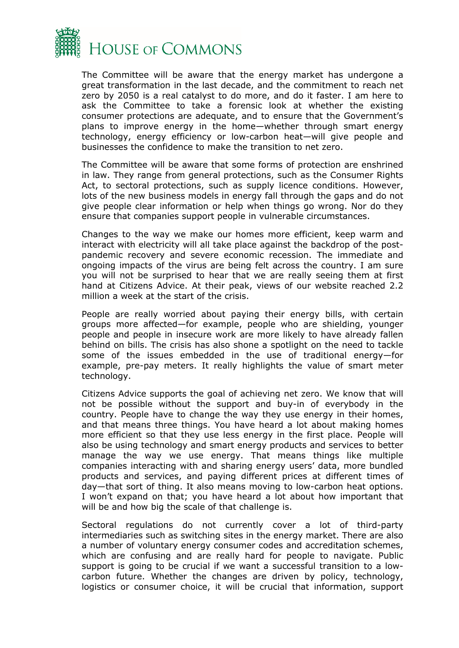

The Committee will be aware that the energy market has undergone a great transformation in the last decade, and the commitment to reach net zero by 2050 is a real catalyst to do more, and do it faster. I am here to ask the Committee to take a forensic look at whether the existing consumer protections are adequate, and to ensure that the Government's plans to improve energy in the home—whether through smart energy technology, energy efficiency or low-carbon heat—will give people and businesses the confidence to make the transition to net zero.

The Committee will be aware that some forms of protection are enshrined in law. They range from general protections, such as the Consumer Rights Act, to sectoral protections, such as supply licence conditions. However, lots of the new business models in energy fall through the gaps and do not give people clear information or help when things go wrong. Nor do they ensure that companies support people in vulnerable circumstances.

Changes to the way we make our homes more efficient, keep warm and interact with electricity will all take place against the backdrop of the postpandemic recovery and severe economic recession. The immediate and ongoing impacts of the virus are being felt across the country. I am sure you will not be surprised to hear that we are really seeing them at first hand at Citizens Advice. At their peak, views of our website reached 2.2 million a week at the start of the crisis.

People are really worried about paying their energy bills, with certain groups more affected—for example, people who are shielding, younger people and people in insecure work are more likely to have already fallen behind on bills. The crisis has also shone a spotlight on the need to tackle some of the issues embedded in the use of traditional energy—for example, pre-pay meters. It really highlights the value of smart meter technology.

Citizens Advice supports the goal of achieving net zero. We know that will not be possible without the support and buy-in of everybody in the country. People have to change the way they use energy in their homes, and that means three things. You have heard a lot about making homes more efficient so that they use less energy in the first place. People will also be using technology and smart energy products and services to better manage the way we use energy. That means things like multiple companies interacting with and sharing energy users' data, more bundled products and services, and paying different prices at different times of day—that sort of thing. It also means moving to low-carbon heat options. I won't expand on that; you have heard a lot about how important that will be and how big the scale of that challenge is.

Sectoral regulations do not currently cover a lot of third-party intermediaries such as switching sites in the energy market. There are also a number of voluntary energy consumer codes and accreditation schemes, which are confusing and are really hard for people to navigate. Public support is going to be crucial if we want a successful transition to a lowcarbon future. Whether the changes are driven by policy, technology, logistics or consumer choice, it will be crucial that information, support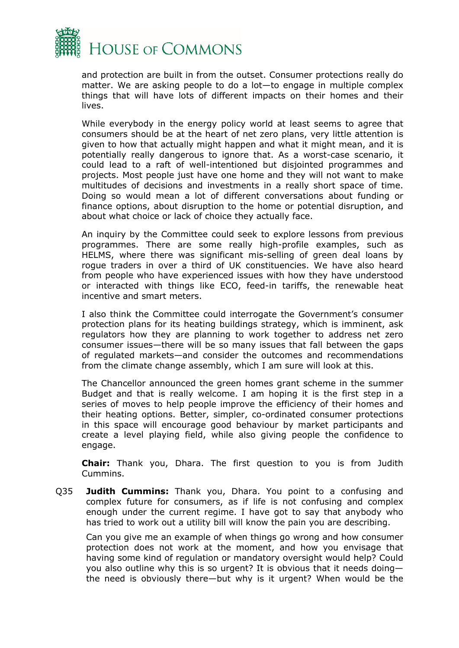

and protection are built in from the outset. Consumer protections really do matter. We are asking people to do a lot—to engage in multiple complex things that will have lots of different impacts on their homes and their lives.

While everybody in the energy policy world at least seems to agree that consumers should be at the heart of net zero plans, very little attention is given to how that actually might happen and what it might mean, and it is potentially really dangerous to ignore that. As a worst-case scenario, it could lead to a raft of well-intentioned but disjointed programmes and projects. Most people just have one home and they will not want to make multitudes of decisions and investments in a really short space of time. Doing so would mean a lot of different conversations about funding or finance options, about disruption to the home or potential disruption, and about what choice or lack of choice they actually face.

An inquiry by the Committee could seek to explore lessons from previous programmes. There are some really high-profile examples, such as HELMS, where there was significant mis-selling of green deal loans by rogue traders in over a third of UK constituencies. We have also heard from people who have experienced issues with how they have understood or interacted with things like ECO, feed-in tariffs, the renewable heat incentive and smart meters.

I also think the Committee could interrogate the Government's consumer protection plans for its heating buildings strategy, which is imminent, ask regulators how they are planning to work together to address net zero consumer issues—there will be so many issues that fall between the gaps of regulated markets—and consider the outcomes and recommendations from the climate change assembly, which I am sure will look at this.

The Chancellor announced the green homes grant scheme in the summer Budget and that is really welcome. I am hoping it is the first step in a series of moves to help people improve the efficiency of their homes and their heating options. Better, simpler, co-ordinated consumer protections in this space will encourage good behaviour by market participants and create a level playing field, while also giving people the confidence to engage.

**Chair:** Thank you, Dhara. The first question to you is from Judith Cummins.

Q35 **Judith Cummins:** Thank you, Dhara. You point to a confusing and complex future for consumers, as if life is not confusing and complex enough under the current regime. I have got to say that anybody who has tried to work out a utility bill will know the pain you are describing.

Can you give me an example of when things go wrong and how consumer protection does not work at the moment, and how you envisage that having some kind of regulation or mandatory oversight would help? Could you also outline why this is so urgent? It is obvious that it needs doing the need is obviously there—but why is it urgent? When would be the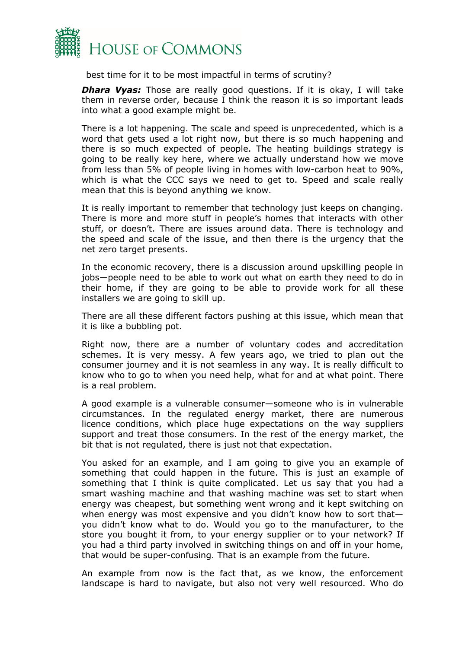

best time for it to be most impactful in terms of scrutiny?

*Dhara Vyas:* Those are really good questions. If it is okay, I will take them in reverse order, because I think the reason it is so important leads into what a good example might be.

There is a lot happening. The scale and speed is unprecedented, which is a word that gets used a lot right now, but there is so much happening and there is so much expected of people. The heating buildings strategy is going to be really key here, where we actually understand how we move from less than 5% of people living in homes with low-carbon heat to 90%, which is what the CCC says we need to get to. Speed and scale really mean that this is beyond anything we know.

It is really important to remember that technology just keeps on changing. There is more and more stuff in people's homes that interacts with other stuff, or doesn't. There are issues around data. There is technology and the speed and scale of the issue, and then there is the urgency that the net zero target presents.

In the economic recovery, there is a discussion around upskilling people in jobs—people need to be able to work out what on earth they need to do in their home, if they are going to be able to provide work for all these installers we are going to skill up.

There are all these different factors pushing at this issue, which mean that it is like a bubbling pot.

Right now, there are a number of voluntary codes and accreditation schemes. It is very messy. A few years ago, we tried to plan out the consumer journey and it is not seamless in any way. It is really difficult to know who to go to when you need help, what for and at what point. There is a real problem.

A good example is a vulnerable consumer—someone who is in vulnerable circumstances. In the regulated energy market, there are numerous licence conditions, which place huge expectations on the way suppliers support and treat those consumers. In the rest of the energy market, the bit that is not regulated, there is just not that expectation.

You asked for an example, and I am going to give you an example of something that could happen in the future. This is just an example of something that I think is quite complicated. Let us say that you had a smart washing machine and that washing machine was set to start when energy was cheapest, but something went wrong and it kept switching on when energy was most expensive and you didn't know how to sort thatyou didn't know what to do. Would you go to the manufacturer, to the store you bought it from, to your energy supplier or to your network? If you had a third party involved in switching things on and off in your home, that would be super-confusing. That is an example from the future.

An example from now is the fact that, as we know, the enforcement landscape is hard to navigate, but also not very well resourced. Who do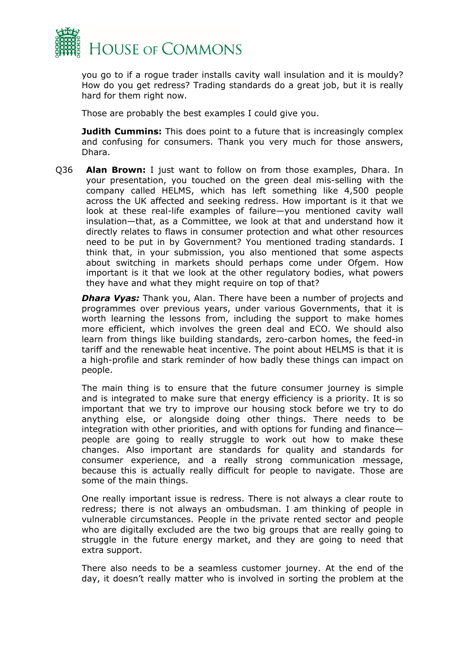

you go to if a rogue trader installs cavity wall insulation and it is mouldy? How do you get redress? Trading standards do a great job, but it is really hard for them right now.

Those are probably the best examples I could give you.

**Judith Cummins:** This does point to a future that is increasingly complex and confusing for consumers. Thank you very much for those answers, Dhara.

Q36 **Alan Brown:** I just want to follow on from those examples, Dhara. In your presentation, you touched on the green deal mis-selling with the company called HELMS, which has left something like 4,500 people across the UK affected and seeking redress. How important is it that we look at these real-life examples of failure—you mentioned cavity wall insulation—that, as a Committee, we look at that and understand how it directly relates to flaws in consumer protection and what other resources need to be put in by Government? You mentioned trading standards. I think that, in your submission, you also mentioned that some aspects about switching in markets should perhaps come under Ofgem. How important is it that we look at the other regulatory bodies, what powers they have and what they might require on top of that?

*Dhara Vyas:* Thank you, Alan. There have been a number of projects and programmes over previous years, under various Governments, that it is worth learning the lessons from, including the support to make homes more efficient, which involves the green deal and ECO. We should also learn from things like building standards, zero-carbon homes, the feed-in tariff and the renewable heat incentive. The point about HELMS is that it is a high-profile and stark reminder of how badly these things can impact on people.

The main thing is to ensure that the future consumer journey is simple and is integrated to make sure that energy efficiency is a priority. It is so important that we try to improve our housing stock before we try to do anything else, or alongside doing other things. There needs to be integration with other priorities, and with options for funding and finance people are going to really struggle to work out how to make these changes. Also important are standards for quality and standards for consumer experience, and a really strong communication message, because this is actually really difficult for people to navigate. Those are some of the main things.

One really important issue is redress. There is not always a clear route to redress; there is not always an ombudsman. I am thinking of people in vulnerable circumstances. People in the private rented sector and people who are digitally excluded are the two big groups that are really going to struggle in the future energy market, and they are going to need that extra support.

There also needs to be a seamless customer journey. At the end of the day, it doesn't really matter who is involved in sorting the problem at the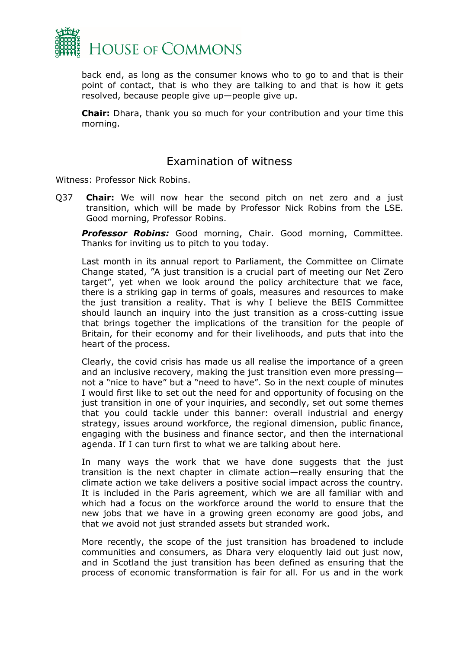

back end, as long as the consumer knows who to go to and that is their point of contact, that is who they are talking to and that is how it gets resolved, because people give up—people give up.

**Chair:** Dhara, thank you so much for your contribution and your time this morning.

#### <span id="page-27-0"></span>Examination of witness

Witness: Professor Nick Robins.

Q37 **Chair:** We will now hear the second pitch on net zero and a just transition, which will be made by Professor Nick Robins from the LSE. Good morning, Professor Robins.

*Professor Robins:* Good morning, Chair. Good morning, Committee. Thanks for inviting us to pitch to you today.

Last month in its annual report to Parliament, the Committee on Climate Change stated, "A just transition is a crucial part of meeting our Net Zero target", yet when we look around the policy architecture that we face, there is a striking gap in terms of goals, measures and resources to make the just transition a reality. That is why I believe the BEIS Committee should launch an inquiry into the just transition as a cross-cutting issue that brings together the implications of the transition for the people of Britain, for their economy and for their livelihoods, and puts that into the heart of the process.

Clearly, the covid crisis has made us all realise the importance of a green and an inclusive recovery, making the just transition even more pressing not a "nice to have" but a "need to have". So in the next couple of minutes I would first like to set out the need for and opportunity of focusing on the just transition in one of your inquiries, and secondly, set out some themes that you could tackle under this banner: overall industrial and energy strategy, issues around workforce, the regional dimension, public finance, engaging with the business and finance sector, and then the international agenda. If I can turn first to what we are talking about here.

In many ways the work that we have done suggests that the just transition is the next chapter in climate action—really ensuring that the climate action we take delivers a positive social impact across the country. It is included in the Paris agreement, which we are all familiar with and which had a focus on the workforce around the world to ensure that the new jobs that we have in a growing green economy are good jobs, and that we avoid not just stranded assets but stranded work.

More recently, the scope of the just transition has broadened to include communities and consumers, as Dhara very eloquently laid out just now, and in Scotland the just transition has been defined as ensuring that the process of economic transformation is fair for all. For us and in the work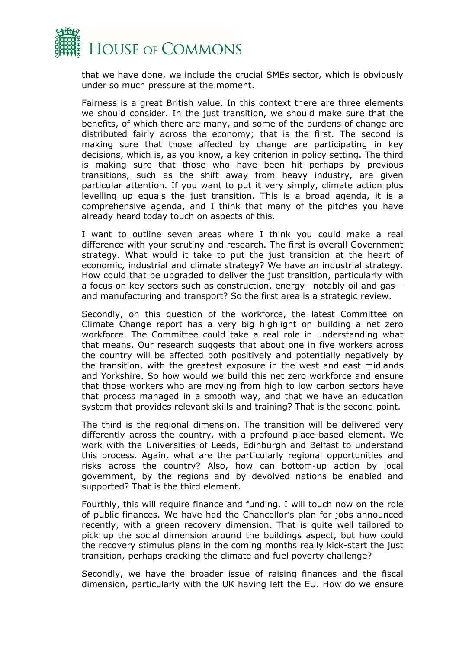

that we have done, we include the crucial SMEs sector, which is obviously under so much pressure at the moment.

Fairness is a great British value. In this context there are three elements we should consider. In the just transition, we should make sure that the benefits, of which there are many, and some of the burdens of change are distributed fairly across the economy; that is the first. The second is making sure that those affected by change are participating in key decisions, which is, as you know, a key criterion in policy setting. The third is making sure that those who have been hit perhaps by previous transitions, such as the shift away from heavy industry, are given particular attention. If you want to put it very simply, climate action plus levelling up equals the just transition. This is a broad agenda, it is a comprehensive agenda, and I think that many of the pitches you have already heard today touch on aspects of this.

I want to outline seven areas where I think you could make a real difference with your scrutiny and research. The first is overall Government strategy. What would it take to put the just transition at the heart of economic, industrial and climate strategy? We have an industrial strategy. How could that be upgraded to deliver the just transition, particularly with a focus on key sectors such as construction, energy—notably oil and gas and manufacturing and transport? So the first area is a strategic review.

Secondly, on this question of the workforce, the latest Committee on Climate Change report has a very big highlight on building a net zero workforce. The Committee could take a real role in understanding what that means. Our research suggests that about one in five workers across the country will be affected both positively and potentially negatively by the transition, with the greatest exposure in the west and east midlands and Yorkshire. So how would we build this net zero workforce and ensure that those workers who are moving from high to low carbon sectors have that process managed in a smooth way, and that we have an education system that provides relevant skills and training? That is the second point.

The third is the regional dimension. The transition will be delivered very differently across the country, with a profound place-based element. We work with the Universities of Leeds, Edinburgh and Belfast to understand this process. Again, what are the particularly regional opportunities and risks across the country? Also, how can bottom-up action by local government, by the regions and by devolved nations be enabled and supported? That is the third element.

Fourthly, this will require finance and funding. I will touch now on the role of public finances. We have had the Chancellor's plan for jobs announced recently, with a green recovery dimension. That is quite well tailored to pick up the social dimension around the buildings aspect, but how could the recovery stimulus plans in the coming months really kick-start the just transition, perhaps cracking the climate and fuel poverty challenge?

Secondly, we have the broader issue of raising finances and the fiscal dimension, particularly with the UK having left the EU. How do we ensure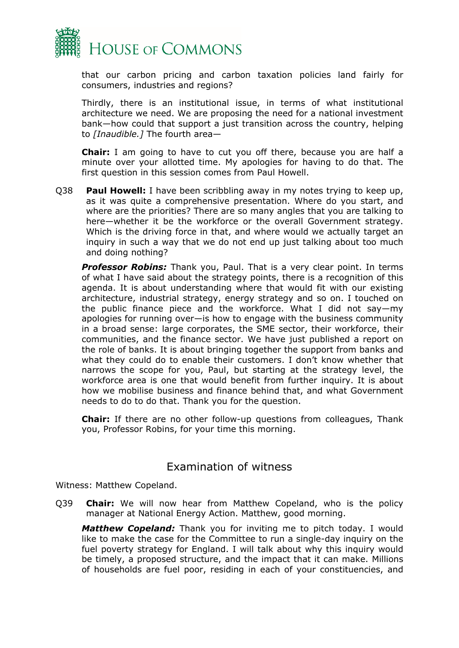

that our carbon pricing and carbon taxation policies land fairly for consumers, industries and regions?

Thirdly, there is an institutional issue, in terms of what institutional architecture we need. We are proposing the need for a national investment bank—how could that support a just transition across the country, helping to *[Inaudible.]* The fourth area—

**Chair:** I am going to have to cut you off there, because you are half a minute over your allotted time. My apologies for having to do that. The first question in this session comes from Paul Howell.

Q38 **Paul Howell:** I have been scribbling away in my notes trying to keep up, as it was quite a comprehensive presentation. Where do you start, and where are the priorities? There are so many angles that you are talking to here—whether it be the workforce or the overall Government strategy. Which is the driving force in that, and where would we actually target an inquiry in such a way that we do not end up just talking about too much and doing nothing?

*Professor Robins:* Thank you, Paul. That is a very clear point. In terms of what I have said about the strategy points, there is a recognition of this agenda. It is about understanding where that would fit with our existing architecture, industrial strategy, energy strategy and so on. I touched on the public finance piece and the workforce. What I did not say—my apologies for running over—is how to engage with the business community in a broad sense: large corporates, the SME sector, their workforce, their communities, and the finance sector. We have just published a report on the role of banks. It is about bringing together the support from banks and what they could do to enable their customers. I don't know whether that narrows the scope for you, Paul, but starting at the strategy level, the workforce area is one that would benefit from further inquiry. It is about how we mobilise business and finance behind that, and what Government needs to do to do that. Thank you for the question.

**Chair:** If there are no other follow-up questions from colleagues, Thank you, Professor Robins, for your time this morning.

#### <span id="page-29-0"></span>Examination of witness

Witness: Matthew Copeland.

Q39 **Chair:** We will now hear from Matthew Copeland, who is the policy manager at National Energy Action. Matthew, good morning.

*Matthew Copeland:* Thank you for inviting me to pitch today. I would like to make the case for the Committee to run a single-day inquiry on the fuel poverty strategy for England. I will talk about why this inquiry would be timely, a proposed structure, and the impact that it can make. Millions of households are fuel poor, residing in each of your constituencies, and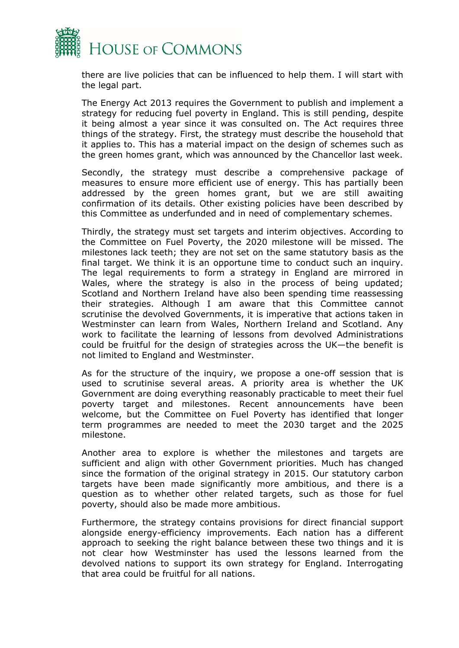

there are live policies that can be influenced to help them. I will start with the legal part.

The Energy Act 2013 requires the Government to publish and implement a strategy for reducing fuel poverty in England. This is still pending, despite it being almost a year since it was consulted on. The Act requires three things of the strategy. First, the strategy must describe the household that it applies to. This has a material impact on the design of schemes such as the green homes grant, which was announced by the Chancellor last week.

Secondly, the strategy must describe a comprehensive package of measures to ensure more efficient use of energy. This has partially been addressed by the green homes grant, but we are still awaiting confirmation of its details. Other existing policies have been described by this Committee as underfunded and in need of complementary schemes.

Thirdly, the strategy must set targets and interim objectives. According to the Committee on Fuel Poverty, the 2020 milestone will be missed. The milestones lack teeth; they are not set on the same statutory basis as the final target. We think it is an opportune time to conduct such an inquiry. The legal requirements to form a strategy in England are mirrored in Wales, where the strategy is also in the process of being updated; Scotland and Northern Ireland have also been spending time reassessing their strategies. Although I am aware that this Committee cannot scrutinise the devolved Governments, it is imperative that actions taken in Westminster can learn from Wales, Northern Ireland and Scotland. Any work to facilitate the learning of lessons from devolved Administrations could be fruitful for the design of strategies across the UK—the benefit is not limited to England and Westminster.

As for the structure of the inquiry, we propose a one-off session that is used to scrutinise several areas. A priority area is whether the UK Government are doing everything reasonably practicable to meet their fuel poverty target and milestones. Recent announcements have been welcome, but the Committee on Fuel Poverty has identified that longer term programmes are needed to meet the 2030 target and the 2025 milestone.

Another area to explore is whether the milestones and targets are sufficient and align with other Government priorities. Much has changed since the formation of the original strategy in 2015. Our statutory carbon targets have been made significantly more ambitious, and there is a question as to whether other related targets, such as those for fuel poverty, should also be made more ambitious.

Furthermore, the strategy contains provisions for direct financial support alongside energy-efficiency improvements. Each nation has a different approach to seeking the right balance between these two things and it is not clear how Westminster has used the lessons learned from the devolved nations to support its own strategy for England. Interrogating that area could be fruitful for all nations.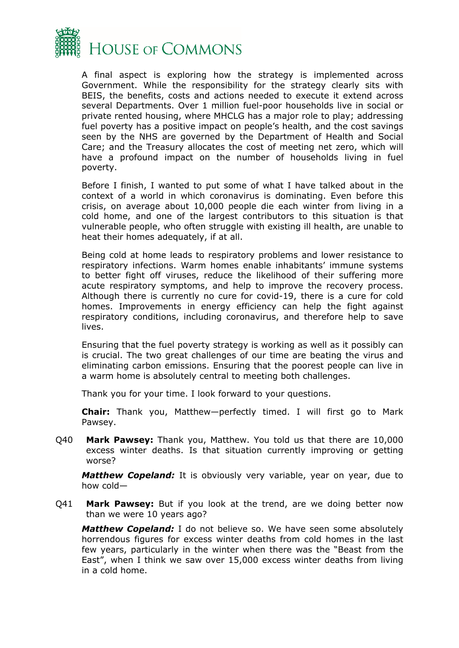

A final aspect is exploring how the strategy is implemented across Government. While the responsibility for the strategy clearly sits with BEIS, the benefits, costs and actions needed to execute it extend across several Departments. Over 1 million fuel-poor households live in social or private rented housing, where MHCLG has a major role to play; addressing fuel poverty has a positive impact on people's health, and the cost savings seen by the NHS are governed by the Department of Health and Social Care; and the Treasury allocates the cost of meeting net zero, which will have a profound impact on the number of households living in fuel poverty.

Before I finish, I wanted to put some of what I have talked about in the context of a world in which coronavirus is dominating. Even before this crisis, on average about 10,000 people die each winter from living in a cold home, and one of the largest contributors to this situation is that vulnerable people, who often struggle with existing ill health, are unable to heat their homes adequately, if at all.

Being cold at home leads to respiratory problems and lower resistance to respiratory infections. Warm homes enable inhabitants' immune systems to better fight off viruses, reduce the likelihood of their suffering more acute respiratory symptoms, and help to improve the recovery process. Although there is currently no cure for covid-19, there is a cure for cold homes. Improvements in energy efficiency can help the fight against respiratory conditions, including coronavirus, and therefore help to save lives.

Ensuring that the fuel poverty strategy is working as well as it possibly can is crucial. The two great challenges of our time are beating the virus and eliminating carbon emissions. Ensuring that the poorest people can live in a warm home is absolutely central to meeting both challenges.

Thank you for your time. I look forward to your questions.

**Chair:** Thank you, Matthew—perfectly timed. I will first go to Mark Pawsey.

Q40 **Mark Pawsey:** Thank you, Matthew. You told us that there are 10,000 excess winter deaths. Is that situation currently improving or getting worse?

*Matthew Copeland:* It is obviously very variable, year on year, due to how cold—

Q41 **Mark Pawsey:** But if you look at the trend, are we doing better now than we were 10 years ago?

*Matthew Copeland:* I do not believe so. We have seen some absolutely horrendous figures for excess winter deaths from cold homes in the last few years, particularly in the winter when there was the "Beast from the East", when I think we saw over 15,000 excess winter deaths from living in a cold home.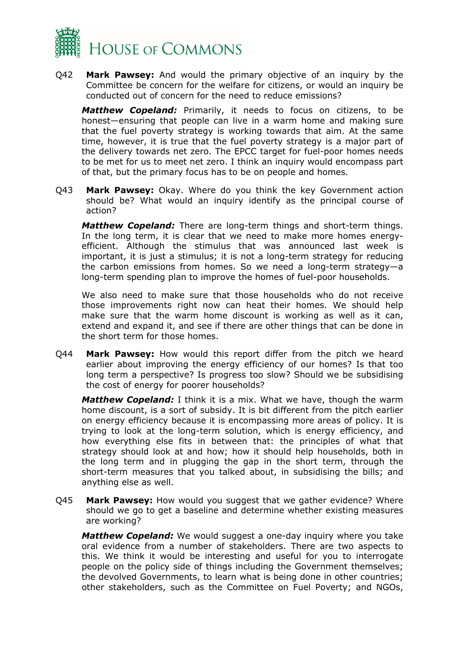

Q42 **Mark Pawsey:** And would the primary objective of an inquiry by the Committee be concern for the welfare for citizens, or would an inquiry be conducted out of concern for the need to reduce emissions?

*Matthew Copeland:* Primarily, it needs to focus on citizens, to be honest—ensuring that people can live in a warm home and making sure that the fuel poverty strategy is working towards that aim. At the same time, however, it is true that the fuel poverty strategy is a major part of the delivery towards net zero. The EPCC target for fuel-poor homes needs to be met for us to meet net zero. I think an inquiry would encompass part of that, but the primary focus has to be on people and homes.

Q43 **Mark Pawsey:** Okay. Where do you think the key Government action should be? What would an inquiry identify as the principal course of action?

*Matthew Copeland:* There are long-term things and short-term things. In the long term, it is clear that we need to make more homes energyefficient. Although the stimulus that was announced last week is important, it is just a stimulus; it is not a long-term strategy for reducing the carbon emissions from homes. So we need a long-term strategy—a long-term spending plan to improve the homes of fuel-poor households.

We also need to make sure that those households who do not receive those improvements right now can heat their homes. We should help make sure that the warm home discount is working as well as it can, extend and expand it, and see if there are other things that can be done in the short term for those homes.

Q44 **Mark Pawsey:** How would this report differ from the pitch we heard earlier about improving the energy efficiency of our homes? Is that too long term a perspective? Is progress too slow? Should we be subsidising the cost of energy for poorer households?

*Matthew Copeland:* I think it is a mix. What we have, though the warm home discount, is a sort of subsidy. It is bit different from the pitch earlier on energy efficiency because it is encompassing more areas of policy. It is trying to look at the long-term solution, which is energy efficiency, and how everything else fits in between that: the principles of what that strategy should look at and how; how it should help households, both in the long term and in plugging the gap in the short term, through the short-term measures that you talked about, in subsidising the bills; and anything else as well.

Q45 **Mark Pawsey:** How would you suggest that we gather evidence? Where should we go to get a baseline and determine whether existing measures are working?

*Matthew Copeland:* We would suggest a one-day inquiry where you take oral evidence from a number of stakeholders. There are two aspects to this. We think it would be interesting and useful for you to interrogate people on the policy side of things including the Government themselves; the devolved Governments, to learn what is being done in other countries; other stakeholders, such as the Committee on Fuel Poverty; and NGOs,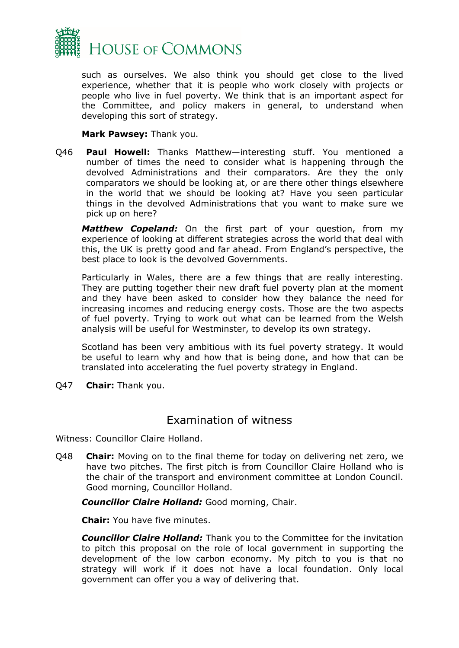

such as ourselves. We also think you should get close to the lived experience, whether that it is people who work closely with projects or people who live in fuel poverty. We think that is an important aspect for the Committee, and policy makers in general, to understand when developing this sort of strategy.

#### **Mark Pawsey:** Thank you.

Q46 **Paul Howell:** Thanks Matthew—interesting stuff. You mentioned a number of times the need to consider what is happening through the devolved Administrations and their comparators. Are they the only comparators we should be looking at, or are there other things elsewhere in the world that we should be looking at? Have you seen particular things in the devolved Administrations that you want to make sure we pick up on here?

*Matthew Copeland:* On the first part of your question, from my experience of looking at different strategies across the world that deal with this, the UK is pretty good and far ahead. From England's perspective, the best place to look is the devolved Governments.

Particularly in Wales, there are a few things that are really interesting. They are putting together their new draft fuel poverty plan at the moment and they have been asked to consider how they balance the need for increasing incomes and reducing energy costs. Those are the two aspects of fuel poverty. Trying to work out what can be learned from the Welsh analysis will be useful for Westminster, to develop its own strategy.

Scotland has been very ambitious with its fuel poverty strategy. It would be useful to learn why and how that is being done, and how that can be translated into accelerating the fuel poverty strategy in England.

Q47 **Chair:** Thank you.

#### <span id="page-33-0"></span>Examination of witness

Witness: Councillor Claire Holland.

Q48 **Chair:** Moving on to the final theme for today on delivering net zero, we have two pitches. The first pitch is from Councillor Claire Holland who is the chair of the transport and environment committee at London Council. Good morning, Councillor Holland.

*Councillor Claire Holland:* Good morning, Chair.

**Chair:** You have five minutes.

*Councillor Claire Holland:* Thank you to the Committee for the invitation to pitch this proposal on the role of local government in supporting the development of the low carbon economy. My pitch to you is that no strategy will work if it does not have a local foundation. Only local government can offer you a way of delivering that.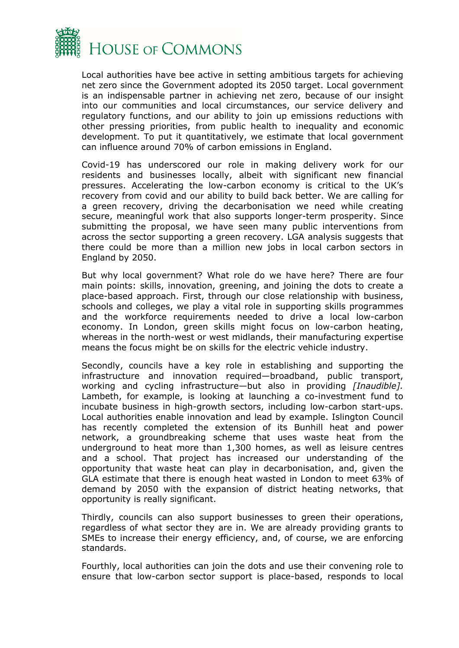

Local authorities have bee active in setting ambitious targets for achieving net zero since the Government adopted its 2050 target. Local government is an indispensable partner in achieving net zero, because of our insight into our communities and local circumstances, our service delivery and regulatory functions, and our ability to join up emissions reductions with other pressing priorities, from public health to inequality and economic development. To put it quantitatively, we estimate that local government can influence around 70% of carbon emissions in England.

Covid-19 has underscored our role in making delivery work for our residents and businesses locally, albeit with significant new financial pressures. Accelerating the low-carbon economy is critical to the UK's recovery from covid and our ability to build back better. We are calling for a green recovery, driving the decarbonisation we need while creating secure, meaningful work that also supports longer-term prosperity. Since submitting the proposal, we have seen many public interventions from across the sector supporting a green recovery. LGA analysis suggests that there could be more than a million new jobs in local carbon sectors in England by 2050.

But why local government? What role do we have here? There are four main points: skills, innovation, greening, and joining the dots to create a place-based approach. First, through our close relationship with business, schools and colleges, we play a vital role in supporting skills programmes and the workforce requirements needed to drive a local low-carbon economy. In London, green skills might focus on low-carbon heating, whereas in the north-west or west midlands, their manufacturing expertise means the focus might be on skills for the electric vehicle industry.

Secondly, councils have a key role in establishing and supporting the infrastructure and innovation required—broadband, public transport, working and cycling infrastructure—but also in providing *[Inaudible].* Lambeth, for example, is looking at launching a co-investment fund to incubate business in high-growth sectors, including low-carbon start-ups. Local authorities enable innovation and lead by example. Islington Council has recently completed the extension of its Bunhill heat and power network, a groundbreaking scheme that uses waste heat from the underground to heat more than 1,300 homes, as well as leisure centres and a school. That project has increased our understanding of the opportunity that waste heat can play in decarbonisation, and, given the GLA estimate that there is enough heat wasted in London to meet 63% of demand by 2050 with the expansion of district heating networks, that opportunity is really significant.

Thirdly, councils can also support businesses to green their operations, regardless of what sector they are in. We are already providing grants to SMEs to increase their energy efficiency, and, of course, we are enforcing standards.

Fourthly, local authorities can join the dots and use their convening role to ensure that low-carbon sector support is place-based, responds to local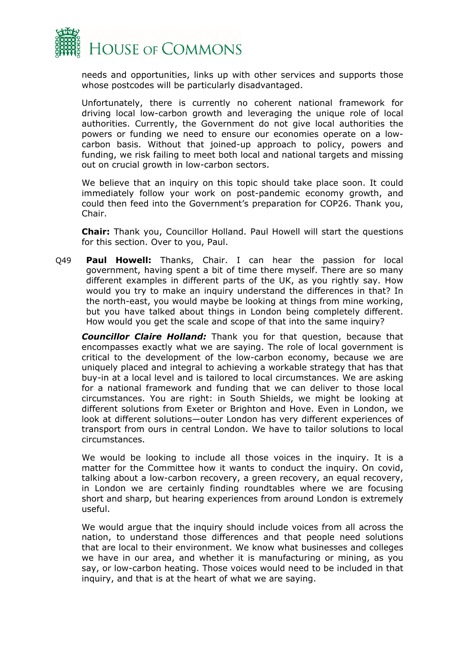

needs and opportunities, links up with other services and supports those whose postcodes will be particularly disadvantaged.

Unfortunately, there is currently no coherent national framework for driving local low-carbon growth and leveraging the unique role of local authorities. Currently, the Government do not give local authorities the powers or funding we need to ensure our economies operate on a lowcarbon basis. Without that joined-up approach to policy, powers and funding, we risk failing to meet both local and national targets and missing out on crucial growth in low-carbon sectors.

We believe that an inquiry on this topic should take place soon. It could immediately follow your work on post-pandemic economy growth, and could then feed into the Government's preparation for COP26. Thank you, Chair.

**Chair:** Thank you, Councillor Holland. Paul Howell will start the questions for this section. Over to you, Paul.

Q49 **Paul Howell:** Thanks, Chair. I can hear the passion for local government, having spent a bit of time there myself. There are so many different examples in different parts of the UK, as you rightly say. How would you try to make an inquiry understand the differences in that? In the north-east, you would maybe be looking at things from mine working, but you have talked about things in London being completely different. How would you get the scale and scope of that into the same inquiry?

*Councillor Claire Holland:* Thank you for that question, because that encompasses exactly what we are saying. The role of local government is critical to the development of the low-carbon economy, because we are uniquely placed and integral to achieving a workable strategy that has that buy-in at a local level and is tailored to local circumstances. We are asking for a national framework and funding that we can deliver to those local circumstances. You are right: in South Shields, we might be looking at different solutions from Exeter or Brighton and Hove. Even in London, we look at different solutions—outer London has very different experiences of transport from ours in central London. We have to tailor solutions to local circumstances.

We would be looking to include all those voices in the inquiry. It is a matter for the Committee how it wants to conduct the inquiry. On covid, talking about a low-carbon recovery, a green recovery, an equal recovery, in London we are certainly finding roundtables where we are focusing short and sharp, but hearing experiences from around London is extremely useful.

We would argue that the inquiry should include voices from all across the nation, to understand those differences and that people need solutions that are local to their environment. We know what businesses and colleges we have in our area, and whether it is manufacturing or mining, as you say, or low-carbon heating. Those voices would need to be included in that inquiry, and that is at the heart of what we are saying.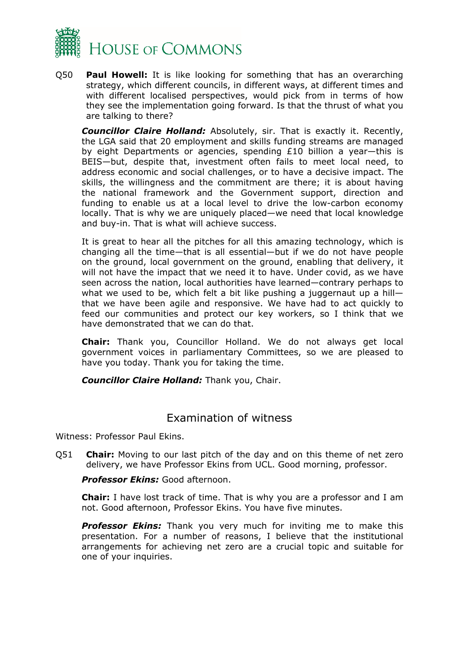

Q50 **Paul Howell:** It is like looking for something that has an overarching strategy, which different councils, in different ways, at different times and with different localised perspectives, would pick from in terms of how they see the implementation going forward. Is that the thrust of what you are talking to there?

*Councillor Claire Holland:* Absolutely, sir. That is exactly it. Recently, the LGA said that 20 employment and skills funding streams are managed by eight Departments or agencies, spending £10 billion a year—this is BEIS—but, despite that, investment often fails to meet local need, to address economic and social challenges, or to have a decisive impact. The skills, the willingness and the commitment are there; it is about having the national framework and the Government support, direction and funding to enable us at a local level to drive the low-carbon economy locally. That is why we are uniquely placed—we need that local knowledge and buy-in. That is what will achieve success.

It is great to hear all the pitches for all this amazing technology, which is changing all the time—that is all essential—but if we do not have people on the ground, local government on the ground, enabling that delivery, it will not have the impact that we need it to have. Under covid, as we have seen across the nation, local authorities have learned—contrary perhaps to what we used to be, which felt a bit like pushing a juggernaut up a hillthat we have been agile and responsive. We have had to act quickly to feed our communities and protect our key workers, so I think that we have demonstrated that we can do that.

**Chair:** Thank you, Councillor Holland. We do not always get local government voices in parliamentary Committees, so we are pleased to have you today. Thank you for taking the time.

*Councillor Claire Holland:* Thank you, Chair.

## <span id="page-36-0"></span>Examination of witness

Witness: Professor Paul Ekins.

Q51 **Chair:** Moving to our last pitch of the day and on this theme of net zero delivery, we have Professor Ekins from UCL. Good morning, professor.

#### *Professor Ekins:* Good afternoon.

**Chair:** I have lost track of time. That is why you are a professor and I am not. Good afternoon, Professor Ekins. You have five minutes.

*Professor Ekins:* Thank you very much for inviting me to make this presentation. For a number of reasons, I believe that the institutional arrangements for achieving net zero are a crucial topic and suitable for one of your inquiries.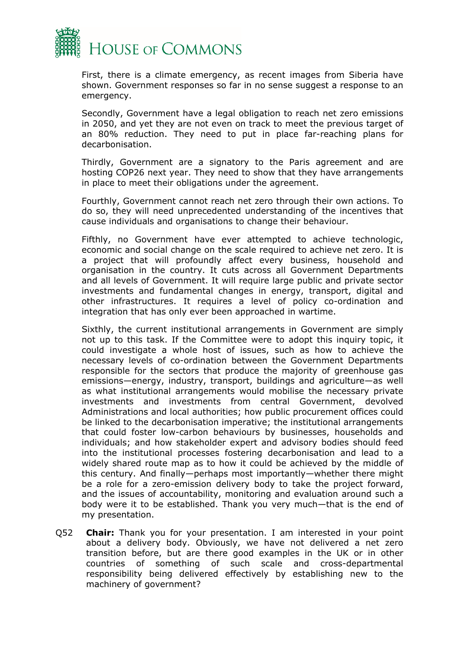

First, there is a climate emergency, as recent images from Siberia have shown. Government responses so far in no sense suggest a response to an emergency.

Secondly, Government have a legal obligation to reach net zero emissions in 2050, and yet they are not even on track to meet the previous target of an 80% reduction. They need to put in place far-reaching plans for decarbonisation.

Thirdly, Government are a signatory to the Paris agreement and are hosting COP26 next year. They need to show that they have arrangements in place to meet their obligations under the agreement.

Fourthly, Government cannot reach net zero through their own actions. To do so, they will need unprecedented understanding of the incentives that cause individuals and organisations to change their behaviour.

Fifthly, no Government have ever attempted to achieve technologic, economic and social change on the scale required to achieve net zero. It is a project that will profoundly affect every business, household and organisation in the country. It cuts across all Government Departments and all levels of Government. It will require large public and private sector investments and fundamental changes in energy, transport, digital and other infrastructures. It requires a level of policy co-ordination and integration that has only ever been approached in wartime.

Sixthly, the current institutional arrangements in Government are simply not up to this task. If the Committee were to adopt this inquiry topic, it could investigate a whole host of issues, such as how to achieve the necessary levels of co-ordination between the Government Departments responsible for the sectors that produce the majority of greenhouse gas emissions—energy, industry, transport, buildings and agriculture—as well as what institutional arrangements would mobilise the necessary private investments and investments from central Government, devolved Administrations and local authorities; how public procurement offices could be linked to the decarbonisation imperative; the institutional arrangements that could foster low-carbon behaviours by businesses, households and individuals; and how stakeholder expert and advisory bodies should feed into the institutional processes fostering decarbonisation and lead to a widely shared route map as to how it could be achieved by the middle of this century. And finally—perhaps most importantly—whether there might be a role for a zero-emission delivery body to take the project forward, and the issues of accountability, monitoring and evaluation around such a body were it to be established. Thank you very much—that is the end of my presentation.

Q52 **Chair:** Thank you for your presentation. I am interested in your point about a delivery body. Obviously, we have not delivered a net zero transition before, but are there good examples in the UK or in other countries of something of such scale and cross-departmental responsibility being delivered effectively by establishing new to the machinery of government?